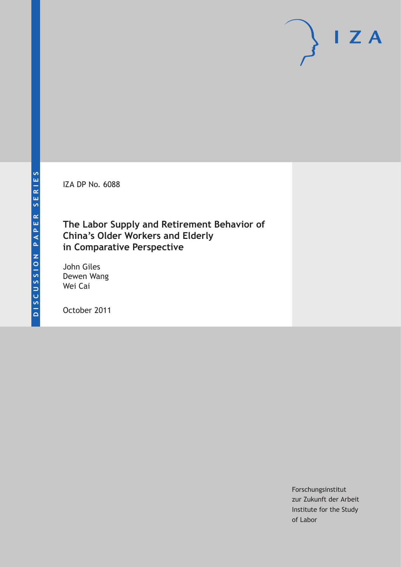IZA DP No. 6088

## **The Labor Supply and Retirement Behavior of China's Older Workers and Elderly in Comparative Perspective**

John Giles Dewen Wang Wei Cai

October 2011

Forschungsinstitut zur Zukunft der Arbeit Institute for the Study of Labor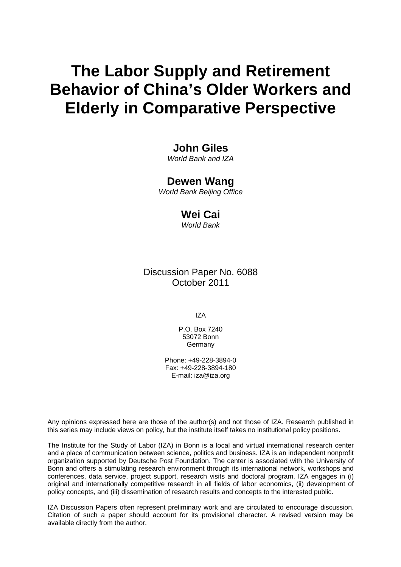# **The Labor Supply and Retirement Behavior of China's Older Workers and Elderly in Comparative Perspective**

## **John Giles**

*World Bank and IZA* 

### **Dewen Wang**

*World Bank Beijing Office* 

### **Wei Cai**

*World Bank* 

## Discussion Paper No. 6088 October 2011

IZA

P.O. Box 7240 53072 Bonn **Germany** 

Phone: +49-228-3894-0 Fax: +49-228-3894-180 E-mail: [iza@iza.org](mailto:iza@iza.org)

Any opinions expressed here are those of the author(s) and not those of IZA. Research published in this series may include views on policy, but the institute itself takes no institutional policy positions.

The Institute for the Study of Labor (IZA) in Bonn is a local and virtual international research center and a place of communication between science, politics and business. IZA is an independent nonprofit organization supported by Deutsche Post Foundation. The center is associated with the University of Bonn and offers a stimulating research environment through its international network, workshops and conferences, data service, project support, research visits and doctoral program. IZA engages in (i) original and internationally competitive research in all fields of labor economics, (ii) development of policy concepts, and (iii) dissemination of research results and concepts to the interested public.

IZA Discussion Papers often represent preliminary work and are circulated to encourage discussion. Citation of such a paper should account for its provisional character. A revised version may be available directly from the author.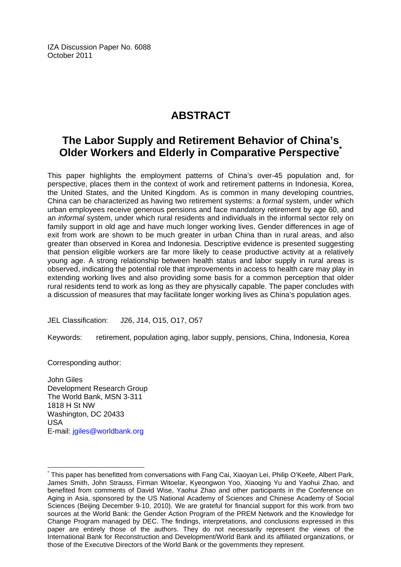IZA Discussion Paper No. 6088 October 2011

## **ABSTRACT**

## **The Labor Supply and Retirement Behavior of China's Older Workers and Elderly in Comparative Perspectiv[e\\*](#page-2-0)**

This paper highlights the employment patterns of China's over-45 population and, for perspective, places them in the context of work and retirement patterns in Indonesia, Korea, the United States, and the United Kingdom. As is common in many developing countries, China can be characterized as having two retirement systems: a *formal* system, under which urban employees receive generous pensions and face mandatory retirement by age 60, and an *informal* system, under which rural residents and individuals in the informal sector rely on family support in old age and have much longer working lives. Gender differences in age of exit from work are shown to be much greater in urban China than in rural areas, and also greater than observed in Korea and Indonesia. Descriptive evidence is presented suggesting that pension eligible workers are far more likely to cease productive activity at a relatively young age. A strong relationship between health status and labor supply in rural areas is observed, indicating the potential role that improvements in access to health care may play in extending working lives and also providing some basis for a common perception that older rural residents tend to work as long as they are physically capable. The paper concludes with a discussion of measures that may facilitate longer working lives as China's population ages.

JEL Classification: J26, J14, O15, O17, O57

Keywords: retirement, population aging, labor supply, pensions, China, Indonesia, Korea

Corresponding author:

 $\overline{a}$ 

John Giles Development Research Group The World Bank, MSN 3-311 1818 H St NW Washington, DC 20433 USA E-mail: [jgiles@worldbank.org](mailto:jgiles@worldbank.org)

<span id="page-2-0"></span><sup>\*</sup> This paper has benefitted from conversations with Fang Cai, Xiaoyan Lei, Philip O'Keefe, Albert Park, James Smith, John Strauss, Firman Witoelar, Kyeongwon Yoo, Xiaoqing Yu and Yaohui Zhao, and benefited from comments of David Wise, Yaohui Zhao and other participants in the Conference on Aging in Asia, sponsored by the US National Academy of Sciences and Chinese Academy of Social Sciences (Beijing December 9-10, 2010). We are grateful for financial support for this work from two sources at the World Bank: the Gender Action Program of the PREM Network and the Knowledge for Change Program managed by DEC. The findings, interpretations, and conclusions expressed in this paper are entirely those of the authors. They do not necessarily represent the views of the International Bank for Reconstruction and Development/World Bank and its affiliated organizations, or those of the Executive Directors of the World Bank or the governments they represent.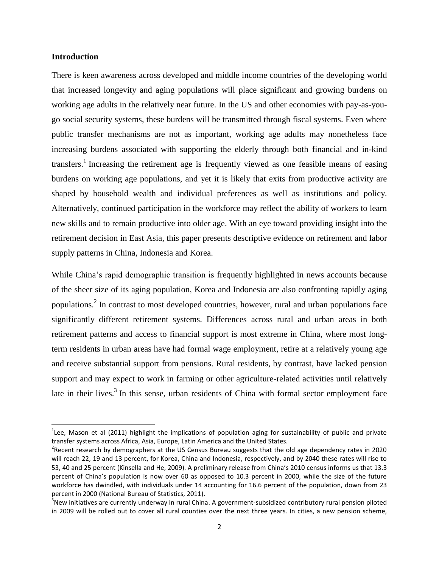#### **Introduction**

 $\overline{\phantom{a}}$ 

There is keen awareness across developed and middle income countries of the developing world that increased longevity and aging populations will place significant and growing burdens on working age adults in the relatively near future. In the US and other economies with pay-as-yougo social security systems, these burdens will be transmitted through fiscal systems. Even where public transfer mechanisms are not as important, working age adults may nonetheless face increasing burdens associated with supporting the elderly through both financial and in-kind transfers.<sup>1</sup> Increasing the retirement age is frequently viewed as one feasible means of easing burdens on working age populations, and yet it is likely that exits from productive activity are shaped by household wealth and individual preferences as well as institutions and policy. Alternatively, continued participation in the workforce may reflect the ability of workers to learn new skills and to remain productive into older age. With an eye toward providing insight into the retirement decision in East Asia, this paper presents descriptive evidence on retirement and labor supply patterns in China, Indonesia and Korea.

While China's rapid demographic transition is frequently highlighted in news accounts because of the sheer size of its aging population, Korea and Indonesia are also confronting rapidly aging populations.<sup>2</sup> In contrast to most developed countries, however, rural and urban populations face significantly different retirement systems. Differences across rural and urban areas in both retirement patterns and access to financial support is most extreme in China, where most longterm residents in urban areas have had formal wage employment, retire at a relatively young age and receive substantial support from pensions. Rural residents, by contrast, have lacked pension support and may expect to work in farming or other agriculture-related activities until relatively late in their lives.<sup>3</sup> In this sense, urban residents of China with formal sector employment face

 $1$ Lee, Mason et al (2011) highlight the implications of population aging for sustainability of public and private transfer systems across Africa, Asia, Europe, Latin America and the United States.

<sup>&</sup>lt;sup>2</sup> Recent research by demographers at the US Census Bureau suggests that the old age dependency rates in 2020 will reach 22, 19 and 13 percent, for Korea, China and Indonesia, respectively, and by 2040 these rates will rise to 53, 40 and 25 percent (Kinsella and He, 2009). A preliminary release from China's 2010 census informs us that 13.3 percent of China's population is now over 60 as opposed to 10.3 percent in 2000, while the size of the future workforce has dwindled, with individuals under 14 accounting for 16.6 percent of the population, down from 23 percent in 2000 (National Bureau of Statistics, 2011).

 $3$ New initiatives are currently underway in rural China. A government-subsidized contributory rural pension piloted in 2009 will be rolled out to cover all rural counties over the next three years. In cities, a new pension scheme,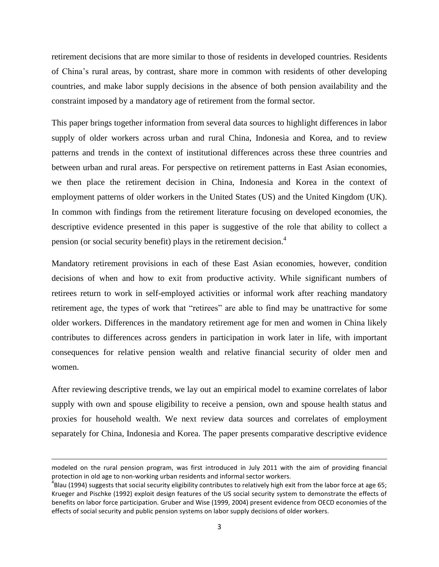retirement decisions that are more similar to those of residents in developed countries. Residents of China's rural areas, by contrast, share more in common with residents of other developing countries, and make labor supply decisions in the absence of both pension availability and the constraint imposed by a mandatory age of retirement from the formal sector.

This paper brings together information from several data sources to highlight differences in labor supply of older workers across urban and rural China, Indonesia and Korea, and to review patterns and trends in the context of institutional differences across these three countries and between urban and rural areas. For perspective on retirement patterns in East Asian economies, we then place the retirement decision in China, Indonesia and Korea in the context of employment patterns of older workers in the United States (US) and the United Kingdom (UK). In common with findings from the retirement literature focusing on developed economies, the descriptive evidence presented in this paper is suggestive of the role that ability to collect a pension (or social security benefit) plays in the retirement decision.<sup>4</sup>

Mandatory retirement provisions in each of these East Asian economies, however, condition decisions of when and how to exit from productive activity. While significant numbers of retirees return to work in self-employed activities or informal work after reaching mandatory retirement age, the types of work that "retirees" are able to find may be unattractive for some older workers. Differences in the mandatory retirement age for men and women in China likely contributes to differences across genders in participation in work later in life, with important consequences for relative pension wealth and relative financial security of older men and women.

After reviewing descriptive trends, we lay out an empirical model to examine correlates of labor supply with own and spouse eligibility to receive a pension, own and spouse health status and proxies for household wealth. We next review data sources and correlates of employment separately for China, Indonesia and Korea. The paper presents comparative descriptive evidence

modeled on the rural pension program, was first introduced in July 2011 with the aim of providing financial protection in old age to non-working urban residents and informal sector workers.

 $^4$ Blau (1994) suggests that social security eligibility contributes to relatively high exit from the labor force at age 65; Krueger and Pischke (1992) exploit design features of the US social security system to demonstrate the effects of benefits on labor force participation. Gruber and Wise (1999, 2004) present evidence from OECD economies of the effects of social security and public pension systems on labor supply decisions of older workers.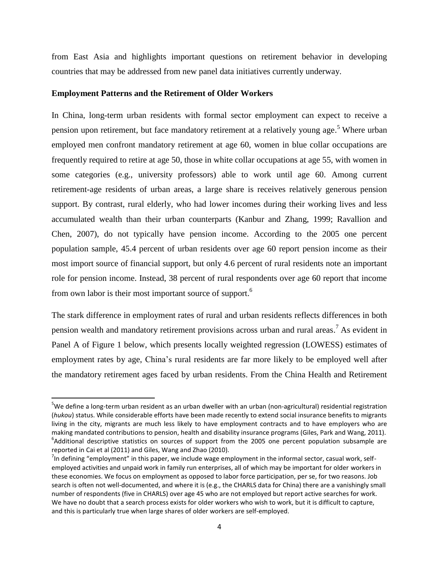from East Asia and highlights important questions on retirement behavior in developing countries that may be addressed from new panel data initiatives currently underway.

#### **Employment Patterns and the Retirement of Older Workers**

 $\overline{a}$ 

In China, long-term urban residents with formal sector employment can expect to receive a pension upon retirement, but face mandatory retirement at a relatively young age.<sup>5</sup> Where urban employed men confront mandatory retirement at age 60, women in blue collar occupations are frequently required to retire at age 50, those in white collar occupations at age 55, with women in some categories (e.g., university professors) able to work until age 60. Among current retirement-age residents of urban areas, a large share is receives relatively generous pension support. By contrast, rural elderly, who had lower incomes during their working lives and less accumulated wealth than their urban counterparts (Kanbur and Zhang, 1999; Ravallion and Chen, 2007), do not typically have pension income. According to the 2005 one percent population sample, 45.4 percent of urban residents over age 60 report pension income as their most import source of financial support, but only 4.6 percent of rural residents note an important role for pension income. Instead, 38 percent of rural respondents over age 60 report that income from own labor is their most important source of support.<sup>6</sup>

The stark difference in employment rates of rural and urban residents reflects differences in both pension wealth and mandatory retirement provisions across urban and rural areas.<sup>7</sup> As evident in Panel A of Figure 1 below, which presents locally weighted regression (LOWESS) estimates of employment rates by age, China's rural residents are far more likely to be employed well after the mandatory retirement ages faced by urban residents. From the China Health and Retirement

<sup>&</sup>lt;sup>5</sup>We define a long-term urban resident as an urban dweller with an urban (non-agricultural) residential registration (*hukou*) status. While considerable efforts have been made recently to extend social insurance benefits to migrants living in the city, migrants are much less likely to have employment contracts and to have employers who are making mandated contributions to pension, health and disability insurance programs (Giles, Park and Wang, 2011). <sup>6</sup>Additional descriptive statistics on sources of support from the 2005 one percent population subsample are reported in Cai et al (2011) and Giles, Wang and Zhao (2010).

 $^7$ In defining "employment" in this paper, we include wage employment in the informal sector, casual work, selfemployed activities and unpaid work in family run enterprises, all of which may be important for older workers in these economies. We focus on employment as opposed to labor force participation, per se, for two reasons. Job search is often not well-documented, and where it is (e.g., the CHARLS data for China) there are a vanishingly small number of respondents (five in CHARLS) over age 45 who are not employed but report active searches for work. We have no doubt that a search process exists for older workers who wish to work, but it is difficult to capture, and this is particularly true when large shares of older workers are self-employed.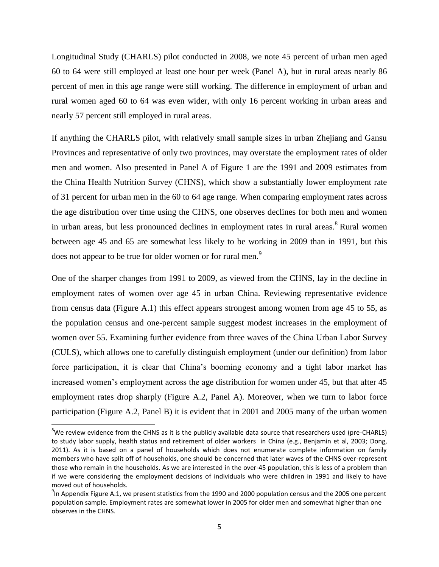Longitudinal Study (CHARLS) pilot conducted in 2008, we note 45 percent of urban men aged 60 to 64 were still employed at least one hour per week (Panel A), but in rural areas nearly 86 percent of men in this age range were still working. The difference in employment of urban and rural women aged 60 to 64 was even wider, with only 16 percent working in urban areas and nearly 57 percent still employed in rural areas.

If anything the CHARLS pilot, with relatively small sample sizes in urban Zhejiang and Gansu Provinces and representative of only two provinces, may overstate the employment rates of older men and women. Also presented in Panel A of Figure 1 are the 1991 and 2009 estimates from the China Health Nutrition Survey (CHNS), which show a substantially lower employment rate of 31 percent for urban men in the 60 to 64 age range. When comparing employment rates across the age distribution over time using the CHNS, one observes declines for both men and women in urban areas, but less pronounced declines in employment rates in rural areas.<sup>8</sup> Rural women between age 45 and 65 are somewhat less likely to be working in 2009 than in 1991, but this does not appear to be true for older women or for rural men.<sup>9</sup>

One of the sharper changes from 1991 to 2009, as viewed from the CHNS, lay in the decline in employment rates of women over age 45 in urban China. Reviewing representative evidence from census data (Figure A.1) this effect appears strongest among women from age 45 to 55, as the population census and one-percent sample suggest modest increases in the employment of women over 55. Examining further evidence from three waves of the China Urban Labor Survey (CULS), which allows one to carefully distinguish employment (under our definition) from labor force participation, it is clear that China's booming economy and a tight labor market has increased women's employment across the age distribution for women under 45, but that after 45 employment rates drop sharply (Figure A.2, Panel A). Moreover, when we turn to labor force participation (Figure A.2, Panel B) it is evident that in 2001 and 2005 many of the urban women

 $\overline{\phantom{a}}$ 

 $8$ We review evidence from the CHNS as it is the publicly available data source that researchers used (pre-CHARLS) to study labor supply, health status and retirement of older workers in China (e.g., Benjamin et al, 2003; Dong, 2011). As it is based on a panel of households which does not enumerate complete information on family members who have split off of households, one should be concerned that later waves of the CHNS over-represent those who remain in the households. As we are interested in the over-45 population, this is less of a problem than if we were considering the employment decisions of individuals who were children in 1991 and likely to have moved out of households.

 $^{9}$ In Appendix Figure A.1, we present statistics from the 1990 and 2000 population census and the 2005 one percent population sample. Employment rates are somewhat lower in 2005 for older men and somewhat higher than one observes in the CHNS.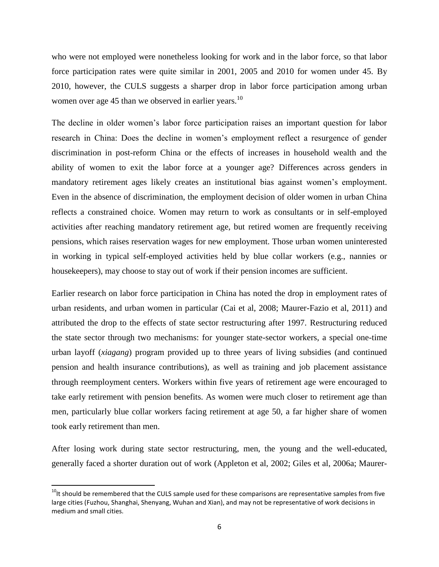who were not employed were nonetheless looking for work and in the labor force, so that labor force participation rates were quite similar in 2001, 2005 and 2010 for women under 45. By 2010, however, the CULS suggests a sharper drop in labor force participation among urban women over age 45 than we observed in earlier years.<sup>10</sup>

The decline in older women's labor force participation raises an important question for labor research in China: Does the decline in women's employment reflect a resurgence of gender discrimination in post-reform China or the effects of increases in household wealth and the ability of women to exit the labor force at a younger age? Differences across genders in mandatory retirement ages likely creates an institutional bias against women's employment. Even in the absence of discrimination, the employment decision of older women in urban China reflects a constrained choice. Women may return to work as consultants or in self-employed activities after reaching mandatory retirement age, but retired women are frequently receiving pensions, which raises reservation wages for new employment. Those urban women uninterested in working in typical self-employed activities held by blue collar workers (e.g., nannies or housekeepers), may choose to stay out of work if their pension incomes are sufficient.

Earlier research on labor force participation in China has noted the drop in employment rates of urban residents, and urban women in particular (Cai et al, 2008; Maurer-Fazio et al, 2011) and attributed the drop to the effects of state sector restructuring after 1997. Restructuring reduced the state sector through two mechanisms: for younger state-sector workers, a special one-time urban layoff (*xiagang*) program provided up to three years of living subsidies (and continued pension and health insurance contributions), as well as training and job placement assistance through reemployment centers. Workers within five years of retirement age were encouraged to take early retirement with pension benefits. As women were much closer to retirement age than men, particularly blue collar workers facing retirement at age 50, a far higher share of women took early retirement than men.

After losing work during state sector restructuring, men, the young and the well-educated, generally faced a shorter duration out of work (Appleton et al, 2002; Giles et al, 2006a; Maurer-

 $\overline{\phantom{a}}$ 

<sup>&</sup>lt;sup>10</sup>It should be remembered that the CULS sample used for these comparisons are representative samples from five large cities (Fuzhou, Shanghai, Shenyang, Wuhan and Xian), and may not be representative of work decisions in medium and small cities.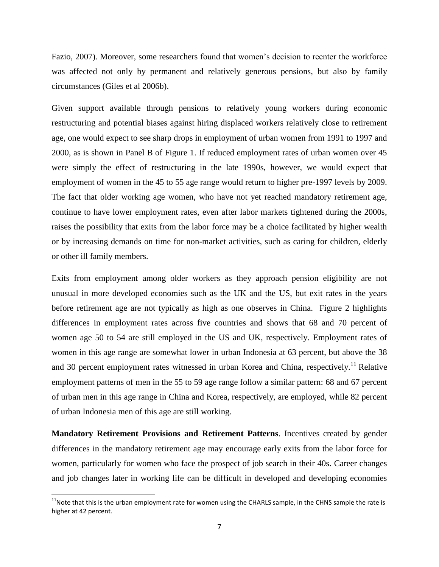Fazio, 2007). Moreover, some researchers found that women's decision to reenter the workforce was affected not only by permanent and relatively generous pensions, but also by family circumstances (Giles et al 2006b).

Given support available through pensions to relatively young workers during economic restructuring and potential biases against hiring displaced workers relatively close to retirement age, one would expect to see sharp drops in employment of urban women from 1991 to 1997 and 2000, as is shown in Panel B of Figure 1. If reduced employment rates of urban women over 45 were simply the effect of restructuring in the late 1990s, however, we would expect that employment of women in the 45 to 55 age range would return to higher pre-1997 levels by 2009. The fact that older working age women, who have not yet reached mandatory retirement age, continue to have lower employment rates, even after labor markets tightened during the 2000s, raises the possibility that exits from the labor force may be a choice facilitated by higher wealth or by increasing demands on time for non-market activities, such as caring for children, elderly or other ill family members.

Exits from employment among older workers as they approach pension eligibility are not unusual in more developed economies such as the UK and the US, but exit rates in the years before retirement age are not typically as high as one observes in China. Figure 2 highlights differences in employment rates across five countries and shows that 68 and 70 percent of women age 50 to 54 are still employed in the US and UK, respectively. Employment rates of women in this age range are somewhat lower in urban Indonesia at 63 percent, but above the 38 and 30 percent employment rates witnessed in urban Korea and China, respectively.<sup>11</sup> Relative employment patterns of men in the 55 to 59 age range follow a similar pattern: 68 and 67 percent of urban men in this age range in China and Korea, respectively, are employed, while 82 percent of urban Indonesia men of this age are still working.

**Mandatory Retirement Provisions and Retirement Patterns**. Incentives created by gender differences in the mandatory retirement age may encourage early exits from the labor force for women, particularly for women who face the prospect of job search in their 40s. Career changes and job changes later in working life can be difficult in developed and developing economies

l

 $11$ Note that this is the urban employment rate for women using the CHARLS sample, in the CHNS sample the rate is higher at 42 percent.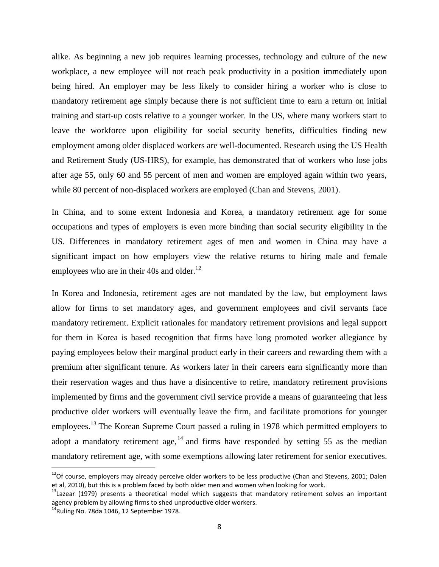alike. As beginning a new job requires learning processes, technology and culture of the new workplace, a new employee will not reach peak productivity in a position immediately upon being hired. An employer may be less likely to consider hiring a worker who is close to mandatory retirement age simply because there is not sufficient time to earn a return on initial training and start-up costs relative to a younger worker. In the US, where many workers start to leave the workforce upon eligibility for social security benefits, difficulties finding new employment among older displaced workers are well-documented. Research using the US Health and Retirement Study (US-HRS), for example, has demonstrated that of workers who lose jobs after age 55, only 60 and 55 percent of men and women are employed again within two years, while 80 percent of non-displaced workers are employed (Chan and Stevens, 2001).

In China, and to some extent Indonesia and Korea, a mandatory retirement age for some occupations and types of employers is even more binding than social security eligibility in the US. Differences in mandatory retirement ages of men and women in China may have a significant impact on how employers view the relative returns to hiring male and female employees who are in their 40s and older.<sup>12</sup>

In Korea and Indonesia, retirement ages are not mandated by the law, but employment laws allow for firms to set mandatory ages, and government employees and civil servants face mandatory retirement. Explicit rationales for mandatory retirement provisions and legal support for them in Korea is based recognition that firms have long promoted worker allegiance by paying employees below their marginal product early in their careers and rewarding them with a premium after significant tenure. As workers later in their careers earn significantly more than their reservation wages and thus have a disincentive to retire, mandatory retirement provisions implemented by firms and the government civil service provide a means of guaranteeing that less productive older workers will eventually leave the firm, and facilitate promotions for younger employees.<sup>13</sup> The Korean Supreme Court passed a ruling in 1978 which permitted employers to adopt a mandatory retirement age,  $14$  and firms have responded by setting 55 as the median mandatory retirement age, with some exemptions allowing later retirement for senior executives.

l

 $12$ Of course, employers may already perceive older workers to be less productive (Chan and Stevens, 2001; Dalen et al, 2010), but this is a problem faced by both older men and women when looking for work.

<sup>&</sup>lt;sup>13</sup>Lazear (1979) presents a theoretical model which suggests that mandatory retirement solves an important agency problem by allowing firms to shed unproductive older workers.

 $14$ Ruling No. 78da 1046, 12 September 1978.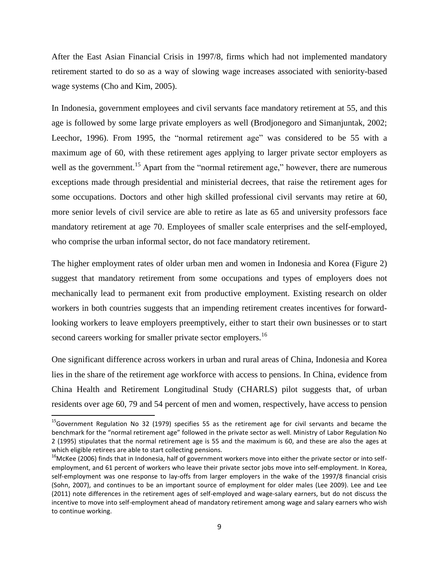After the East Asian Financial Crisis in 1997/8, firms which had not implemented mandatory retirement started to do so as a way of slowing wage increases associated with seniority-based wage systems (Cho and Kim, 2005).

In Indonesia, government employees and civil servants face mandatory retirement at 55, and this age is followed by some large private employers as well (Brodjonegoro and Simanjuntak, 2002; Leechor, 1996). From 1995, the "normal retirement age" was considered to be 55 with a maximum age of 60, with these retirement ages applying to larger private sector employers as well as the government.<sup>15</sup> Apart from the "normal retirement age," however, there are numerous exceptions made through presidential and ministerial decrees, that raise the retirement ages for some occupations. Doctors and other high skilled professional civil servants may retire at 60, more senior levels of civil service are able to retire as late as 65 and university professors face mandatory retirement at age 70. Employees of smaller scale enterprises and the self-employed, who comprise the urban informal sector, do not face mandatory retirement.

The higher employment rates of older urban men and women in Indonesia and Korea (Figure 2) suggest that mandatory retirement from some occupations and types of employers does not mechanically lead to permanent exit from productive employment. Existing research on older workers in both countries suggests that an impending retirement creates incentives for forwardlooking workers to leave employers preemptively, either to start their own businesses or to start second careers working for smaller private sector employers.<sup>16</sup>

One significant difference across workers in urban and rural areas of China, Indonesia and Korea lies in the share of the retirement age workforce with access to pensions. In China, evidence from China Health and Retirement Longitudinal Study (CHARLS) pilot suggests that, of urban residents over age 60, 79 and 54 percent of men and women, respectively, have access to pension

<sup>&</sup>lt;sup>15</sup>Government Regulation No 32 (1979) specifies 55 as the retirement age for civil servants and became the benchmark for the "normal retirement age" followed in the private sector as well. Ministry of Labor Regulation No 2 (1995) stipulates that the normal retirement age is 55 and the maximum is 60, and these are also the ages at which eligible retirees are able to start collecting pensions.

<sup>&</sup>lt;sup>16</sup>McKee (2006) finds that in Indonesia, half of government workers move into either the private sector or into selfemployment, and 61 percent of workers who leave their private sector jobs move into self-employment. In Korea, self-employment was one response to lay-offs from larger employers in the wake of the 1997/8 financial crisis (Sohn, 2007), and continues to be an important source of employment for older males (Lee 2009). Lee and Lee (2011) note differences in the retirement ages of self-employed and wage-salary earners, but do not discuss the incentive to move into self-employment ahead of mandatory retirement among wage and salary earners who wish to continue working.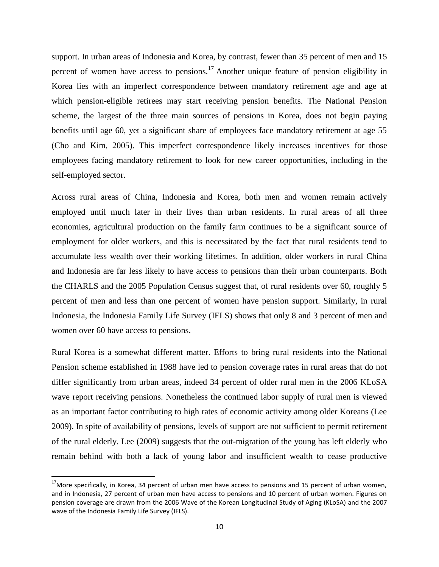support. In urban areas of Indonesia and Korea, by contrast, fewer than 35 percent of men and 15 percent of women have access to pensions.<sup>17</sup> Another unique feature of pension eligibility in Korea lies with an imperfect correspondence between mandatory retirement age and age at which pension-eligible retirees may start receiving pension benefits. The National Pension scheme, the largest of the three main sources of pensions in Korea, does not begin paying benefits until age 60, yet a significant share of employees face mandatory retirement at age 55 (Cho and Kim, 2005). This imperfect correspondence likely increases incentives for those employees facing mandatory retirement to look for new career opportunities, including in the self-employed sector.

Across rural areas of China, Indonesia and Korea, both men and women remain actively employed until much later in their lives than urban residents. In rural areas of all three economies, agricultural production on the family farm continues to be a significant source of employment for older workers, and this is necessitated by the fact that rural residents tend to accumulate less wealth over their working lifetimes. In addition, older workers in rural China and Indonesia are far less likely to have access to pensions than their urban counterparts. Both the CHARLS and the 2005 Population Census suggest that, of rural residents over 60, roughly 5 percent of men and less than one percent of women have pension support. Similarly, in rural Indonesia, the Indonesia Family Life Survey (IFLS) shows that only 8 and 3 percent of men and women over 60 have access to pensions.

Rural Korea is a somewhat different matter. Efforts to bring rural residents into the National Pension scheme established in 1988 have led to pension coverage rates in rural areas that do not differ significantly from urban areas, indeed 34 percent of older rural men in the 2006 KLoSA wave report receiving pensions. Nonetheless the continued labor supply of rural men is viewed as an important factor contributing to high rates of economic activity among older Koreans (Lee 2009). In spite of availability of pensions, levels of support are not sufficient to permit retirement of the rural elderly. Lee (2009) suggests that the out-migration of the young has left elderly who remain behind with both a lack of young labor and insufficient wealth to cease productive

 $17$ More specifically, in Korea, 34 percent of urban men have access to pensions and 15 percent of urban women, and in Indonesia, 27 percent of urban men have access to pensions and 10 percent of urban women. Figures on pension coverage are drawn from the 2006 Wave of the Korean Longitudinal Study of Aging (KLoSA) and the 2007 wave of the Indonesia Family Life Survey (IFLS).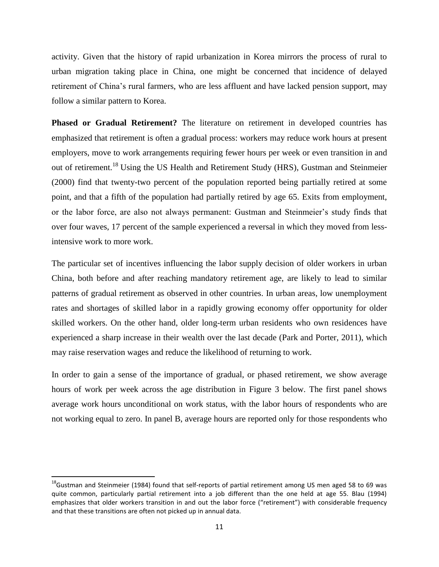activity. Given that the history of rapid urbanization in Korea mirrors the process of rural to urban migration taking place in China, one might be concerned that incidence of delayed retirement of China's rural farmers, who are less affluent and have lacked pension support, may follow a similar pattern to Korea.

**Phased or Gradual Retirement?** The literature on retirement in developed countries has emphasized that retirement is often a gradual process: workers may reduce work hours at present employers, move to work arrangements requiring fewer hours per week or even transition in and out of retirement.<sup>18</sup> Using the US Health and Retirement Study (HRS), Gustman and Steinmeier (2000) find that twenty-two percent of the population reported being partially retired at some point, and that a fifth of the population had partially retired by age 65. Exits from employment, or the labor force, are also not always permanent: Gustman and Steinmeier's study finds that over four waves, 17 percent of the sample experienced a reversal in which they moved from lessintensive work to more work.

The particular set of incentives influencing the labor supply decision of older workers in urban China, both before and after reaching mandatory retirement age, are likely to lead to similar patterns of gradual retirement as observed in other countries. In urban areas, low unemployment rates and shortages of skilled labor in a rapidly growing economy offer opportunity for older skilled workers. On the other hand, older long-term urban residents who own residences have experienced a sharp increase in their wealth over the last decade (Park and Porter, 2011), which may raise reservation wages and reduce the likelihood of returning to work.

In order to gain a sense of the importance of gradual, or phased retirement, we show average hours of work per week across the age distribution in Figure 3 below. The first panel shows average work hours unconditional on work status, with the labor hours of respondents who are not working equal to zero. In panel B, average hours are reported only for those respondents who

<sup>&</sup>lt;sup>18</sup>Gustman and Steinmeier (1984) found that self-reports of partial retirement among US men aged 58 to 69 was quite common, particularly partial retirement into a job different than the one held at age 55. Blau (1994) emphasizes that older workers transition in and out the labor force ("retirement") with considerable frequency and that these transitions are often not picked up in annual data.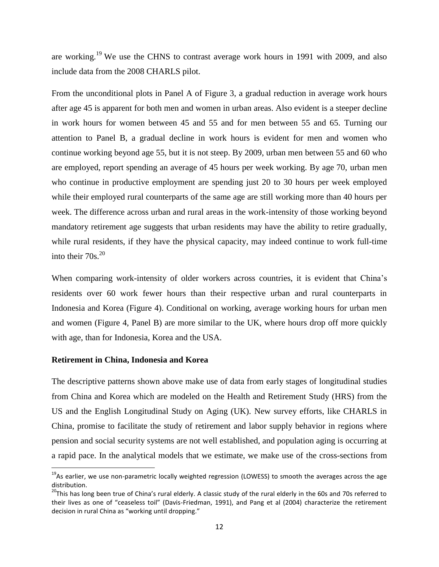are working.<sup>19</sup> We use the CHNS to contrast average work hours in 1991 with 2009, and also include data from the 2008 CHARLS pilot.

From the unconditional plots in Panel A of Figure 3, a gradual reduction in average work hours after age 45 is apparent for both men and women in urban areas. Also evident is a steeper decline in work hours for women between 45 and 55 and for men between 55 and 65. Turning our attention to Panel B, a gradual decline in work hours is evident for men and women who continue working beyond age 55, but it is not steep. By 2009, urban men between 55 and 60 who are employed, report spending an average of 45 hours per week working. By age 70, urban men who continue in productive employment are spending just 20 to 30 hours per week employed while their employed rural counterparts of the same age are still working more than 40 hours per week. The difference across urban and rural areas in the work-intensity of those working beyond mandatory retirement age suggests that urban residents may have the ability to retire gradually, while rural residents, if they have the physical capacity, may indeed continue to work full-time into their  $70s$ .<sup>20</sup>

When comparing work-intensity of older workers across countries, it is evident that China's residents over 60 work fewer hours than their respective urban and rural counterparts in Indonesia and Korea (Figure 4). Conditional on working, average working hours for urban men and women (Figure 4, Panel B) are more similar to the UK, where hours drop off more quickly with age, than for Indonesia, Korea and the USA.

#### **Retirement in China, Indonesia and Korea**

l

The descriptive patterns shown above make use of data from early stages of longitudinal studies from China and Korea which are modeled on the Health and Retirement Study (HRS) from the US and the English Longitudinal Study on Aging (UK). New survey efforts, like CHARLS in China, promise to facilitate the study of retirement and labor supply behavior in regions where pension and social security systems are not well established, and population aging is occurring at a rapid pace. In the analytical models that we estimate, we make use of the cross-sections from

 $^{19}$ As earlier, we use non-parametric locally weighted regression (LOWESS) to smooth the averages across the age distribution.

 $^{20}$ This has long been true of China's rural elderly. A classic study of the rural elderly in the 60s and 70s referred to their lives as one of "ceaseless toil" (Davis-Friedman, 1991), and Pang et al (2004) characterize the retirement decision in rural China as "working until dropping."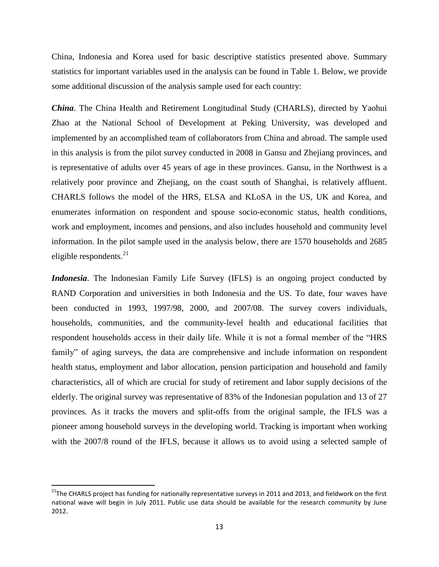China, Indonesia and Korea used for basic descriptive statistics presented above. Summary statistics for important variables used in the analysis can be found in Table 1. Below, we provide some additional discussion of the analysis sample used for each country:

*China*. The China Health and Retirement Longitudinal Study (CHARLS), directed by Yaohui Zhao at the National School of Development at Peking University, was developed and implemented by an accomplished team of collaborators from China and abroad. The sample used in this analysis is from the pilot survey conducted in 2008 in Gansu and Zhejiang provinces, and is representative of adults over 45 years of age in these provinces. Gansu, in the Northwest is a relatively poor province and Zhejiang, on the coast south of Shanghai, is relatively affluent. CHARLS follows the model of the HRS, ELSA and KLoSA in the US, UK and Korea, and enumerates information on respondent and spouse socio-economic status, health conditions, work and employment, incomes and pensions, and also includes household and community level information. In the pilot sample used in the analysis below, there are 1570 households and 2685 eligible respondents. $^{21}$ 

*Indonesia*. The Indonesian Family Life Survey (IFLS) is an ongoing project conducted by RAND Corporation and universities in both Indonesia and the US. To date, four waves have been conducted in 1993, 1997/98, 2000, and 2007/08. The survey covers individuals, households, communities, and the community-level health and educational facilities that respondent households access in their daily life. While it is not a formal member of the "HRS family" of aging surveys, the data are comprehensive and include information on respondent health status, employment and labor allocation, pension participation and household and family characteristics, all of which are crucial for study of retirement and labor supply decisions of the elderly. The original survey was representative of 83% of the Indonesian population and 13 of 27 provinces. As it tracks the movers and split-offs from the original sample, the IFLS was a pioneer among household surveys in the developing world. Tracking is important when working with the 2007/8 round of the IFLS, because it allows us to avoid using a selected sample of

 $\overline{\phantom{a}}$ 

 $^{21}$ The CHARLS project has funding for nationally representative surveys in 2011 and 2013, and fieldwork on the first national wave will begin in July 2011. Public use data should be available for the research community by June 2012.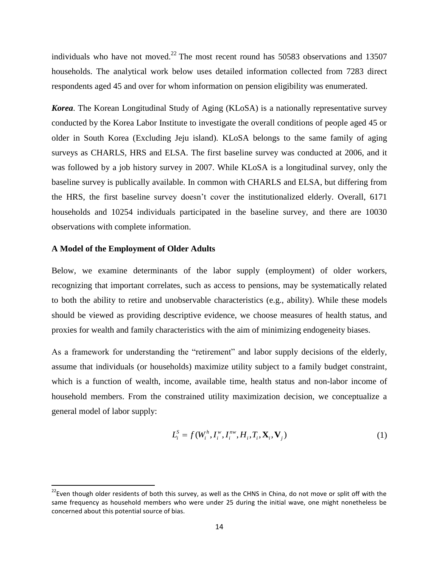individuals who have not moved.<sup>22</sup> The most recent round has 50583 observations and 13507 households. The analytical work below uses detailed information collected from 7283 direct respondents aged 45 and over for whom information on pension eligibility was enumerated.

*Korea*. The Korean Longitudinal Study of Aging (KLoSA) is a nationally representative survey conducted by the Korea Labor Institute to investigate the overall conditions of people aged 45 or older in South Korea (Excluding Jeju island). KLoSA belongs to the same family of aging surveys as CHARLS, HRS and ELSA. The first baseline survey was conducted at 2006, and it was followed by a job history survey in 2007. While KLoSA is a longitudinal survey, only the baseline survey is publically available. In common with CHARLS and ELSA, but differing from the HRS, the first baseline survey doesn't cover the institutionalized elderly. Overall, 6171 households and 10254 individuals participated in the baseline survey, and there are 10030 observations with complete information.

#### **A Model of the Employment of Older Adults**

 $\overline{\phantom{a}}$ 

Below, we examine determinants of the labor supply (employment) of older workers, recognizing that important correlates, such as access to pensions, may be systematically related to both the ability to retire and unobservable characteristics (e.g., ability). While these models should be viewed as providing descriptive evidence, we choose measures of health status, and proxies for wealth and family characteristics with the aim of minimizing endogeneity biases.

As a framework for understanding the "retirement" and labor supply decisions of the elderly, assume that individuals (or households) maximize utility subject to a family budget constraint, which is a function of wealth, income, available time, health status and non-labor income of household members. From the constrained utility maximization decision, we conceptualize a general model of labor supply:

$$
L_i^S = f(W_i^h, I_i^w, I_i^{nw}, H_i, T_i, \mathbf{X}_i, \mathbf{V}_j)
$$
\n<sup>(1)</sup>

<sup>&</sup>lt;sup>22</sup>Even though older residents of both this survey, as well as the CHNS in China, do not move or split off with the same frequency as household members who were under 25 during the initial wave, one might nonetheless be concerned about this potential source of bias.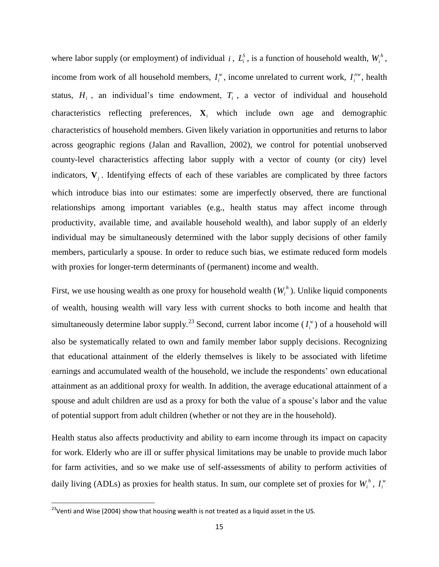where labor supply (or employment) of individual *i*,  $L_i^s$ , is a function of household wealth,  $W_i^h$ , income from work of all household members,  $I_i^w$  $I_i^w$ , income unrelated to current work,  $I_i^{nw}$  $I_i^{nw}$ , health status,  $H_i$ , an individual's time endowment,  $T_i$ , a vector of individual and household characteristics reflecting preferences,  $\mathbf{X}_i$  which include own age and demographic characteristics of household members. Given likely variation in opportunities and returns to labor across geographic regions (Jalan and Ravallion, 2002), we control for potential unobserved county-level characteristics affecting labor supply with a vector of county (or city) level indicators,  $V_j$ . Identifying effects of each of these variables are complicated by three factors which introduce bias into our estimates: some are imperfectly observed, there are functional relationships among important variables (e.g., health status may affect income through productivity, available time, and available household wealth), and labor supply of an elderly individual may be simultaneously determined with the labor supply decisions of other family members, particularly a spouse. In order to reduce such bias, we estimate reduced form models with proxies for longer-term determinants of (permanent) income and wealth.

First, we use housing wealth as one proxy for household wealth  $(W_i^h)$ . Unlike liquid components of wealth, housing wealth will vary less with current shocks to both income and health that simultaneously determine labor supply.<sup>23</sup> Second, current labor income  $(I_i^{\omega})$  $I_i^{\prime\prime}$ ) of a household will also be systematically related to own and family member labor supply decisions. Recognizing that educational attainment of the elderly themselves is likely to be associated with lifetime earnings and accumulated wealth of the household, we include the respondents' own educational attainment as an additional proxy for wealth. In addition, the average educational attainment of a spouse and adult children are usd as a proxy for both the value of a spouse's labor and the value of potential support from adult children (whether or not they are in the household).

Health status also affects productivity and ability to earn income through its impact on capacity for work. Elderly who are ill or suffer physical limitations may be unable to provide much labor for farm activities, and so we make use of self-assessments of ability to perform activities of daily living (ADLs) as proxies for health status. In sum, our complete set of proxies for  $W_i^h$ ,  $I_i^w$ *i I*

 $\overline{\phantom{a}}$ 

 $^{23}$ Venti and Wise (2004) show that housing wealth is not treated as a liquid asset in the US.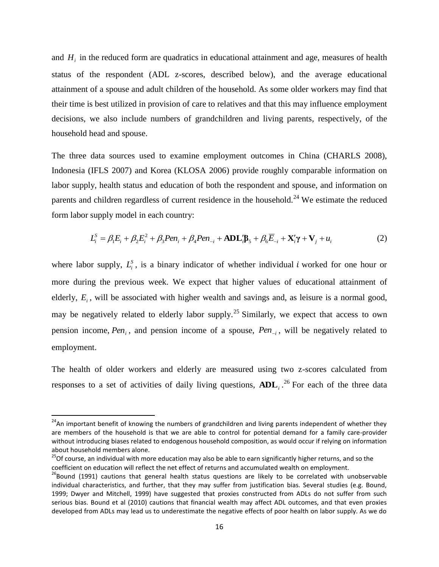and  $H_i$  in the reduced form are quadratics in educational attainment and age, measures of health status of the respondent (ADL z-scores, described below), and the average educational attainment of a spouse and adult children of the household. As some older workers may find that their time is best utilized in provision of care to relatives and that this may influence employment decisions, we also include numbers of grandchildren and living parents, respectively, of the household head and spouse.

The three data sources used to examine employment outcomes in China (CHARLS 2008), Indonesia (IFLS 2007) and Korea (KLOSA 2006) provide roughly comparable information on labor supply, health status and education of both the respondent and spouse, and information on parents and children regardless of current residence in the household.<sup>24</sup> We estimate the reduced form labor supply model in each country:

$$
L_i^S = \beta_1 E_i + \beta_2 E_i^2 + \beta_3 Pen_i + \beta_4 Pen_{-i} + \mathbf{ADL}_i^{\prime} \mathbf{B}_5 + \beta_6 \overline{E}_{-i} + \mathbf{X}_i^{\prime} \mathbf{\gamma} + \mathbf{V}_j + u_i
$$
 (2)

where labor supply,  $L_i^s$ , is a binary indicator of whether individual i worked for one hour or more during the previous week. We expect that higher values of educational attainment of elderly,  $E<sub>i</sub>$ , will be associated with higher wealth and savings and, as leisure is a normal good, may be negatively related to elderly labor supply.<sup>25</sup> Similarly, we expect that access to own pension income, *Pen<sup>i</sup>* , and pension income of a spouse, *Pen<sup>i</sup>* , will be negatively related to employment.

The health of older workers and elderly are measured using two z-scores calculated from responses to a set of activities of daily living questions,  $ADL_i$ <sup>26</sup> For each of the three data

<sup>&</sup>lt;sup>24</sup>An important benefit of knowing the numbers of grandchildren and living parents independent of whether they are members of the household is that we are able to control for potential demand for a family care-provider without introducing biases related to endogenous household composition, as would occur if relying on information about household members alone.

<sup>&</sup>lt;sup>25</sup>Of course, an individual with more education may also be able to earn significantly higher returns, and so the coefficient on education will reflect the net effect of returns and accumulated wealth on employment.

<sup>&</sup>lt;sup>26</sup>Bound (1991) cautions that general health status questions are likely to be correlated with unobservable individual characteristics, and further, that they may suffer from justification bias. Several studies (e.g. Bound, 1999; Dwyer and Mitchell, 1999) have suggested that proxies constructed from ADLs do not suffer from such serious bias. Bound et al (2010) cautions that financial wealth may affect ADL outcomes, and that even proxies developed from ADLs may lead us to underestimate the negative effects of poor health on labor supply. As we do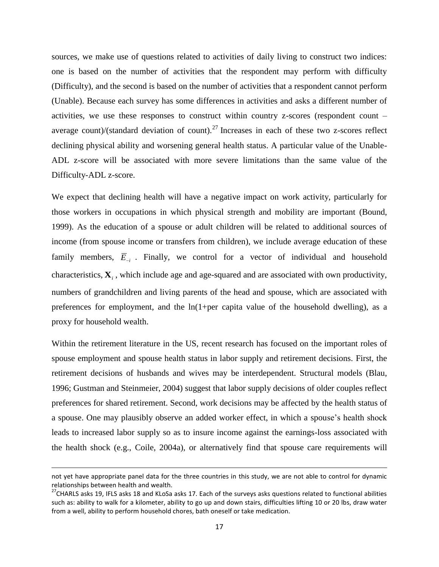sources, we make use of questions related to activities of daily living to construct two indices: one is based on the number of activities that the respondent may perform with difficulty (Difficulty), and the second is based on the number of activities that a respondent cannot perform (Unable). Because each survey has some differences in activities and asks a different number of activities, we use these responses to construct within country z-scores (respondent count – average count)/(standard deviation of count).<sup>27</sup> Increases in each of these two z-scores reflect declining physical ability and worsening general health status. A particular value of the Unable-ADL z-score will be associated with more severe limitations than the same value of the Difficulty-ADL z-score.

We expect that declining health will have a negative impact on work activity, particularly for those workers in occupations in which physical strength and mobility are important (Bound, 1999). As the education of a spouse or adult children will be related to additional sources of income (from spouse income or transfers from children), we include average education of these family members,  $\overline{E}_{i}$ . Finally, we control for a vector of individual and household characteristics, **X***i* , which include age and age-squared and are associated with own productivity, numbers of grandchildren and living parents of the head and spouse, which are associated with preferences for employment, and the ln(1+per capita value of the household dwelling), as a proxy for household wealth.

Within the retirement literature in the US, recent research has focused on the important roles of spouse employment and spouse health status in labor supply and retirement decisions. First, the retirement decisions of husbands and wives may be interdependent. Structural models (Blau, 1996; Gustman and Steinmeier, 2004) suggest that labor supply decisions of older couples reflect preferences for shared retirement. Second, work decisions may be affected by the health status of a spouse. One may plausibly observe an added worker effect, in which a spouse's health shock leads to increased labor supply so as to insure income against the earnings-loss associated with the health shock (e.g., Coile, 2004a), or alternatively find that spouse care requirements will

l

not yet have appropriate panel data for the three countries in this study, we are not able to control for dynamic relationships between health and wealth.

<sup>&</sup>lt;sup>27</sup>CHARLS asks 19, IFLS asks 18 and KLoSa asks 17. Each of the surveys asks questions related to functional abilities such as: ability to walk for a kilometer, ability to go up and down stairs, difficulties lifting 10 or 20 lbs, draw water from a well, ability to perform household chores, bath oneself or take medication.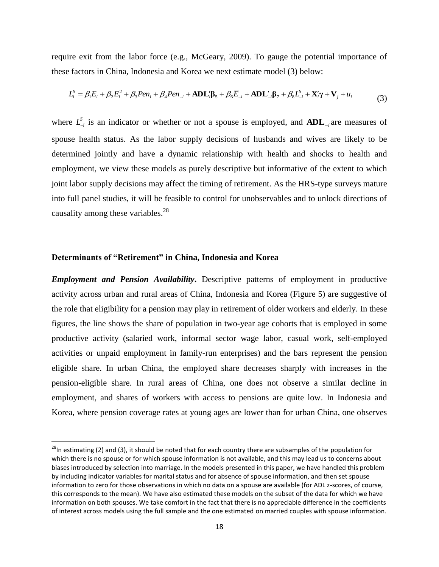require exit from the labor force (e.g., McGeary, 2009). To gauge the potential importance of these factors in China, Indonesia and Korea we next estimate model (3) below:

$$
L_i^S = \beta_1 E_i + \beta_2 E_i^2 + \beta_3 Pen_i + \beta_4 Pen_{-i} + ADL_i^{\prime} \beta_5 + \beta_6 \overline{E}_{-i} + ADL_{-i}^{\prime} \beta_7 + \beta_8 L_{-i}^S + X_i^{\prime} \gamma + V_j + u_i
$$
\n(3)

where  $L^S_{-i}$  is an indicator or whether or not a spouse is employed, and  $ADL_{-i}$  are measures of spouse health status. As the labor supply decisions of husbands and wives are likely to be determined jointly and have a dynamic relationship with health and shocks to health and employment, we view these models as purely descriptive but informative of the extent to which joint labor supply decisions may affect the timing of retirement. As the HRS-type surveys mature into full panel studies, it will be feasible to control for unobservables and to unlock directions of causality among these variables. $^{28}$ 

#### **Determinants of "Retirement" in China, Indonesia and Korea**

 $\overline{\phantom{a}}$ 

*Employment and Pension Availability***.** Descriptive patterns of employment in productive activity across urban and rural areas of China, Indonesia and Korea (Figure 5) are suggestive of the role that eligibility for a pension may play in retirement of older workers and elderly. In these figures, the line shows the share of population in two-year age cohorts that is employed in some productive activity (salaried work, informal sector wage labor, casual work, self-employed activities or unpaid employment in family-run enterprises) and the bars represent the pension eligible share. In urban China, the employed share decreases sharply with increases in the pension-eligible share. In rural areas of China, one does not observe a similar decline in employment, and shares of workers with access to pensions are quite low. In Indonesia and Korea, where pension coverage rates at young ages are lower than for urban China, one observes

<sup>&</sup>lt;sup>28</sup>In estimating (2) and (3), it should be noted that for each country there are subsamples of the population for which there is no spouse or for which spouse information is not available, and this may lead us to concerns about biases introduced by selection into marriage. In the models presented in this paper, we have handled this problem by including indicator variables for marital status and for absence of spouse information, and then set spouse information to zero for those observations in which no data on a spouse are available (for ADL z-scores, of course, this corresponds to the mean). We have also estimated these models on the subset of the data for which we have information on both spouses. We take comfort in the fact that there is no appreciable difference in the coefficients of interest across models using the full sample and the one estimated on married couples with spouse information.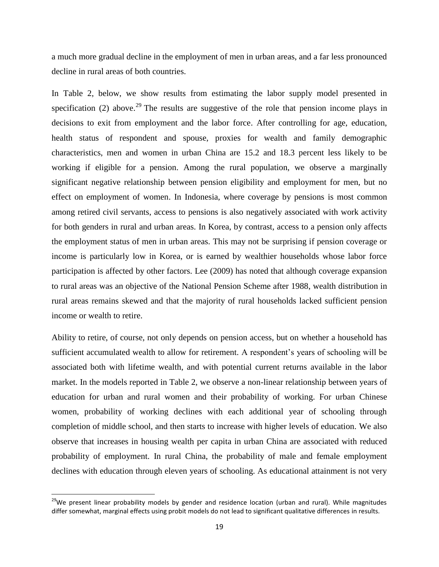a much more gradual decline in the employment of men in urban areas, and a far less pronounced decline in rural areas of both countries.

In Table 2, below, we show results from estimating the labor supply model presented in specification (2) above.<sup>29</sup> The results are suggestive of the role that pension income plays in decisions to exit from employment and the labor force. After controlling for age, education, health status of respondent and spouse, proxies for wealth and family demographic characteristics, men and women in urban China are 15.2 and 18.3 percent less likely to be working if eligible for a pension. Among the rural population, we observe a marginally significant negative relationship between pension eligibility and employment for men, but no effect on employment of women. In Indonesia, where coverage by pensions is most common among retired civil servants, access to pensions is also negatively associated with work activity for both genders in rural and urban areas. In Korea, by contrast, access to a pension only affects the employment status of men in urban areas. This may not be surprising if pension coverage or income is particularly low in Korea, or is earned by wealthier households whose labor force participation is affected by other factors. Lee (2009) has noted that although coverage expansion to rural areas was an objective of the National Pension Scheme after 1988, wealth distribution in rural areas remains skewed and that the majority of rural households lacked sufficient pension income or wealth to retire.

Ability to retire, of course, not only depends on pension access, but on whether a household has sufficient accumulated wealth to allow for retirement. A respondent's years of schooling will be associated both with lifetime wealth, and with potential current returns available in the labor market. In the models reported in Table 2, we observe a non-linear relationship between years of education for urban and rural women and their probability of working. For urban Chinese women, probability of working declines with each additional year of schooling through completion of middle school, and then starts to increase with higher levels of education. We also observe that increases in housing wealth per capita in urban China are associated with reduced probability of employment. In rural China, the probability of male and female employment declines with education through eleven years of schooling. As educational attainment is not very

l

<sup>&</sup>lt;sup>29</sup>We present linear probability models by gender and residence location (urban and rural). While magnitudes differ somewhat, marginal effects using probit models do not lead to significant qualitative differences in results.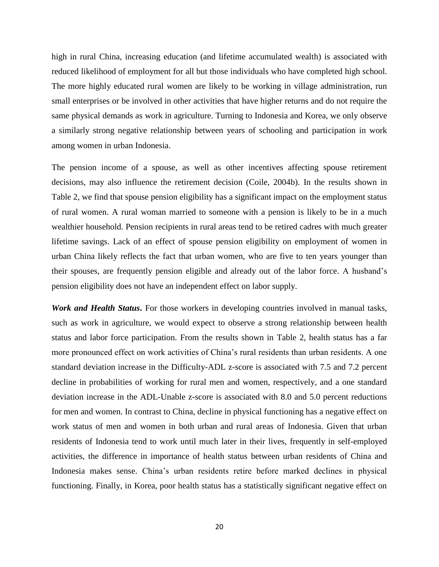high in rural China, increasing education (and lifetime accumulated wealth) is associated with reduced likelihood of employment for all but those individuals who have completed high school. The more highly educated rural women are likely to be working in village administration, run small enterprises or be involved in other activities that have higher returns and do not require the same physical demands as work in agriculture. Turning to Indonesia and Korea, we only observe a similarly strong negative relationship between years of schooling and participation in work among women in urban Indonesia.

The pension income of a spouse, as well as other incentives affecting spouse retirement decisions, may also influence the retirement decision (Coile, 2004b). In the results shown in Table 2, we find that spouse pension eligibility has a significant impact on the employment status of rural women. A rural woman married to someone with a pension is likely to be in a much wealthier household. Pension recipients in rural areas tend to be retired cadres with much greater lifetime savings. Lack of an effect of spouse pension eligibility on employment of women in urban China likely reflects the fact that urban women, who are five to ten years younger than their spouses, are frequently pension eligible and already out of the labor force. A husband's pension eligibility does not have an independent effect on labor supply.

*Work and Health Status***.** For those workers in developing countries involved in manual tasks, such as work in agriculture, we would expect to observe a strong relationship between health status and labor force participation. From the results shown in Table 2, health status has a far more pronounced effect on work activities of China's rural residents than urban residents. A one standard deviation increase in the Difficulty-ADL z-score is associated with 7.5 and 7.2 percent decline in probabilities of working for rural men and women, respectively, and a one standard deviation increase in the ADL-Unable z-score is associated with 8.0 and 5.0 percent reductions for men and women. In contrast to China, decline in physical functioning has a negative effect on work status of men and women in both urban and rural areas of Indonesia. Given that urban residents of Indonesia tend to work until much later in their lives, frequently in self-employed activities, the difference in importance of health status between urban residents of China and Indonesia makes sense. China's urban residents retire before marked declines in physical functioning. Finally, in Korea, poor health status has a statistically significant negative effect on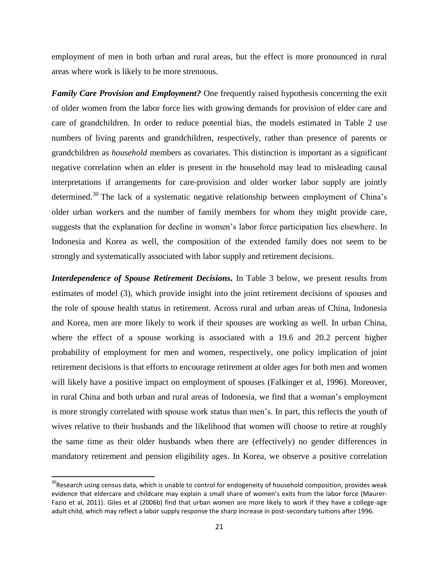employment of men in both urban and rural areas, but the effect is more pronounced in rural areas where work is likely to be more strenuous.

*Family Care Provision and Employment?* One frequently raised hypothesis concerning the exit of older women from the labor force lies with growing demands for provision of elder care and care of grandchildren. In order to reduce potential bias, the models estimated in Table 2 use numbers of living parents and grandchildren, respectively, rather than presence of parents or grandchildren as *household* members as covariates. This distinction is important as a significant negative correlation when an elder is present in the household may lead to misleading causal interpretations if arrangements for care-provision and older worker labor supply are jointly determined.<sup>30</sup> The lack of a systematic negative relationship between employment of China's older urban workers and the number of family members for whom they might provide care, suggests that the explanation for decline in women's labor force participation lies elsewhere. In Indonesia and Korea as well, the composition of the extended family does not seem to be strongly and systematically associated with labor supply and retirement decisions.

*Interdependence of Spouse Retirement Decisions***.** In Table 3 below, we present results from estimates of model (3), which provide insight into the joint retirement decisions of spouses and the role of spouse health status in retirement. Across rural and urban areas of China, Indonesia and Korea, men are more likely to work if their spouses are working as well. In urban China, where the effect of a spouse working is associated with a 19.6 and 20.2 percent higher probability of employment for men and women, respectively, one policy implication of joint retirement decisions is that efforts to encourage retirement at older ages for both men and women will likely have a positive impact on employment of spouses (Falkinger et al, 1996). Moreover, in rural China and both urban and rural areas of Indonesia, we find that a woman's employment is more strongly correlated with spouse work status than men's. In part, this reflects the youth of wives relative to their husbands and the likelihood that women will choose to retire at roughly the same time as their older husbands when there are (effectively) no gender differences in mandatory retirement and pension eligibility ages. In Korea, we observe a positive correlation

<sup>&</sup>lt;sup>30</sup>Research using census data, which is unable to control for endogeneity of household composition, provides weak evidence that eldercare and childcare may explain a small share of women's exits from the labor force (Maurer-Fazio et al, 2011). Giles et al (2006b) find that urban women are more likely to work if they have a college-age adult child, which may reflect a labor supply response the sharp increase in post-secondary tuitions after 1996.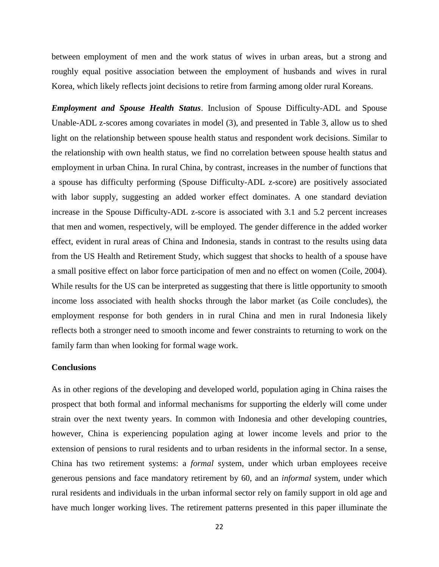between employment of men and the work status of wives in urban areas, but a strong and roughly equal positive association between the employment of husbands and wives in rural Korea, which likely reflects joint decisions to retire from farming among older rural Koreans.

*Employment and Spouse Health Status*. Inclusion of Spouse Difficulty-ADL and Spouse Unable-ADL z-scores among covariates in model (3), and presented in Table 3, allow us to shed light on the relationship between spouse health status and respondent work decisions. Similar to the relationship with own health status, we find no correlation between spouse health status and employment in urban China. In rural China, by contrast, increases in the number of functions that a spouse has difficulty performing (Spouse Difficulty-ADL z-score) are positively associated with labor supply, suggesting an added worker effect dominates. A one standard deviation increase in the Spouse Difficulty-ADL z-score is associated with 3.1 and 5.2 percent increases that men and women, respectively, will be employed. The gender difference in the added worker effect, evident in rural areas of China and Indonesia, stands in contrast to the results using data from the US Health and Retirement Study, which suggest that shocks to health of a spouse have a small positive effect on labor force participation of men and no effect on women (Coile, 2004). While results for the US can be interpreted as suggesting that there is little opportunity to smooth income loss associated with health shocks through the labor market (as Coile concludes), the employment response for both genders in in rural China and men in rural Indonesia likely reflects both a stronger need to smooth income and fewer constraints to returning to work on the family farm than when looking for formal wage work.

#### **Conclusions**

As in other regions of the developing and developed world, population aging in China raises the prospect that both formal and informal mechanisms for supporting the elderly will come under strain over the next twenty years. In common with Indonesia and other developing countries, however, China is experiencing population aging at lower income levels and prior to the extension of pensions to rural residents and to urban residents in the informal sector. In a sense, China has two retirement systems: a *formal* system, under which urban employees receive generous pensions and face mandatory retirement by 60, and an *informal* system, under which rural residents and individuals in the urban informal sector rely on family support in old age and have much longer working lives. The retirement patterns presented in this paper illuminate the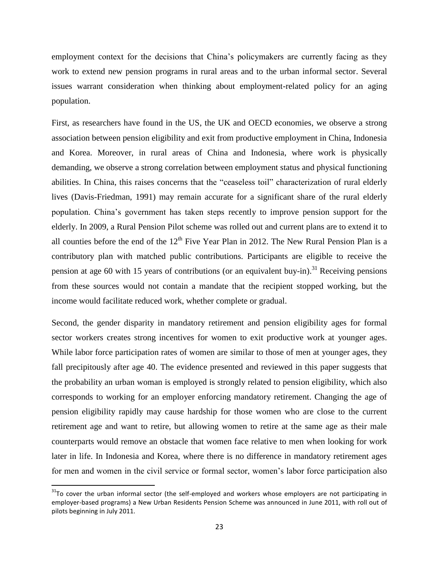employment context for the decisions that China's policymakers are currently facing as they work to extend new pension programs in rural areas and to the urban informal sector. Several issues warrant consideration when thinking about employment-related policy for an aging population.

First, as researchers have found in the US, the UK and OECD economies, we observe a strong association between pension eligibility and exit from productive employment in China, Indonesia and Korea. Moreover, in rural areas of China and Indonesia, where work is physically demanding, we observe a strong correlation between employment status and physical functioning abilities. In China, this raises concerns that the "ceaseless toil" characterization of rural elderly lives (Davis-Friedman, 1991) may remain accurate for a significant share of the rural elderly population. China's government has taken steps recently to improve pension support for the elderly. In 2009, a Rural Pension Pilot scheme was rolled out and current plans are to extend it to all counties before the end of the  $12<sup>th</sup>$  Five Year Plan in 2012. The New Rural Pension Plan is a contributory plan with matched public contributions. Participants are eligible to receive the pension at age 60 with 15 years of contributions (or an equivalent buy-in).<sup>31</sup> Receiving pensions from these sources would not contain a mandate that the recipient stopped working, but the income would facilitate reduced work, whether complete or gradual.

Second, the gender disparity in mandatory retirement and pension eligibility ages for formal sector workers creates strong incentives for women to exit productive work at younger ages. While labor force participation rates of women are similar to those of men at younger ages, they fall precipitously after age 40. The evidence presented and reviewed in this paper suggests that the probability an urban woman is employed is strongly related to pension eligibility, which also corresponds to working for an employer enforcing mandatory retirement. Changing the age of pension eligibility rapidly may cause hardship for those women who are close to the current retirement age and want to retire, but allowing women to retire at the same age as their male counterparts would remove an obstacle that women face relative to men when looking for work later in life. In Indonesia and Korea, where there is no difference in mandatory retirement ages for men and women in the civil service or formal sector, women's labor force participation also

 $\overline{\phantom{a}}$ 

 $31$ To cover the urban informal sector (the self-employed and workers whose employers are not participating in employer-based programs) a New Urban Residents Pension Scheme was announced in June 2011, with roll out of pilots beginning in July 2011.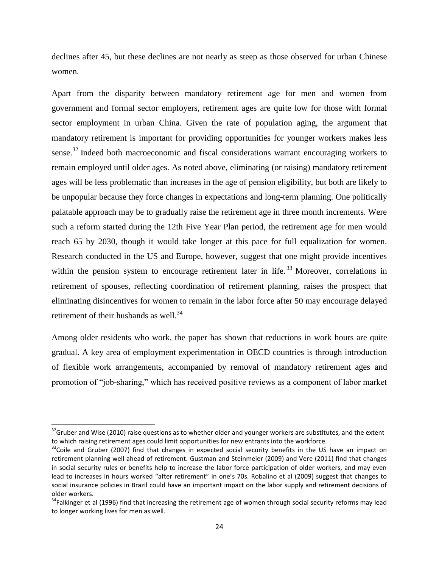declines after 45, but these declines are not nearly as steep as those observed for urban Chinese women.

Apart from the disparity between mandatory retirement age for men and women from government and formal sector employers, retirement ages are quite low for those with formal sector employment in urban China. Given the rate of population aging, the argument that mandatory retirement is important for providing opportunities for younger workers makes less sense.<sup>32</sup> Indeed both macroeconomic and fiscal considerations warrant encouraging workers to remain employed until older ages. As noted above, eliminating (or raising) mandatory retirement ages will be less problematic than increases in the age of pension eligibility, but both are likely to be unpopular because they force changes in expectations and long-term planning. One politically palatable approach may be to gradually raise the retirement age in three month increments. Were such a reform started during the 12th Five Year Plan period, the retirement age for men would reach 65 by 2030, though it would take longer at this pace for full equalization for women. Research conducted in the US and Europe, however, suggest that one might provide incentives within the pension system to encourage retirement later in life.<sup>33</sup> Moreover, correlations in retirement of spouses, reflecting coordination of retirement planning, raises the prospect that eliminating disincentives for women to remain in the labor force after 50 may encourage delayed retirement of their husbands as well.<sup>34</sup>

Among older residents who work, the paper has shown that reductions in work hours are quite gradual. A key area of employment experimentation in OECD countries is through introduction of flexible work arrangements, accompanied by removal of mandatory retirement ages and promotion of "job-sharing," which has received positive reviews as a component of labor market

 $\overline{\phantom{a}}$ 

 $32$ Gruber and Wise (2010) raise questions as to whether older and younger workers are substitutes, and the extent to which raising retirement ages could limit opportunities for new entrants into the workforce.

<sup>&</sup>lt;sup>33</sup>Coile and Gruber (2007) find that changes in expected social security benefits in the US have an impact on retirement planning well ahead of retirement. Gustman and Steinmeier (2009) and Vere (2011) find that changes in social security rules or benefits help to increase the labor force participation of older workers, and may even lead to increases in hours worked "after retirement" in one's 70s. Robalino et al (2009) suggest that changes to social insurance policies in Brazil could have an important impact on the labor supply and retirement decisions of older workers.

 $34$ Falkinger et al (1996) find that increasing the retirement age of women through social security reforms may lead to longer working lives for men as well.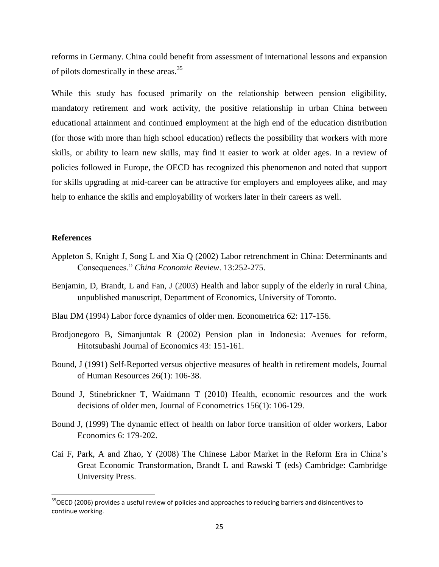reforms in Germany. China could benefit from assessment of international lessons and expansion of pilots domestically in these areas.<sup>35</sup>

While this study has focused primarily on the relationship between pension eligibility, mandatory retirement and work activity, the positive relationship in urban China between educational attainment and continued employment at the high end of the education distribution (for those with more than high school education) reflects the possibility that workers with more skills, or ability to learn new skills, may find it easier to work at older ages. In a review of policies followed in Europe, the OECD has recognized this phenomenon and noted that support for skills upgrading at mid-career can be attractive for employers and employees alike, and may help to enhance the skills and employability of workers later in their careers as well.

#### **References**

l

- Appleton S, Knight J, Song L and Xia Q (2002) Labor retrenchment in China: Determinants and Consequences." *China Economic Review*. 13:252-275.
- Benjamin, D, Brandt, L and Fan, J (2003) Health and labor supply of the elderly in rural China, unpublished manuscript, Department of Economics, University of Toronto.
- Blau DM (1994) Labor force dynamics of older men. Econometrica 62: 117-156.
- Brodjonegoro B, Simanjuntak R (2002) Pension plan in Indonesia: Avenues for reform, Hitotsubashi Journal of Economics 43: 151-161.
- Bound, J (1991) Self-Reported versus objective measures of health in retirement models, Journal of Human Resources 26(1): 106-38.
- Bound J, Stinebrickner T, Waidmann T (2010) Health, economic resources and the work decisions of older men, Journal of Econometrics 156(1): 106-129.
- Bound J, (1999) The dynamic effect of health on labor force transition of older workers, Labor Economics 6: 179-202.
- Cai F, Park, A and Zhao, Y (2008) The Chinese Labor Market in the Reform Era in China's Great Economic Transformation, Brandt L and Rawski T (eds) Cambridge: Cambridge University Press.

 $35$ OECD (2006) provides a useful review of policies and approaches to reducing barriers and disincentives to continue working.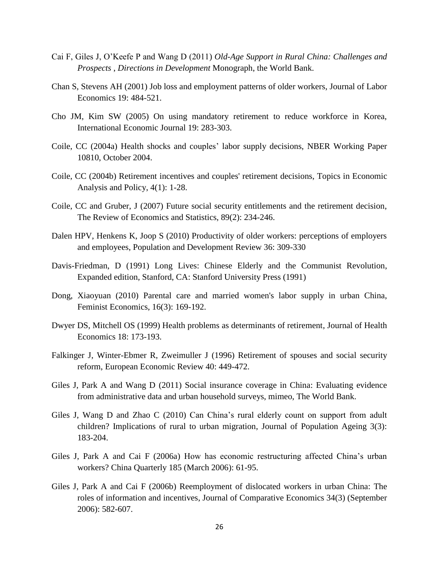- Cai F, Giles J, O'Keefe P and Wang D (2011) *Old-Age Support in Rural China: Challenges and Prospects* , *Directions in Development* Monograph, the World Bank.
- Chan S, Stevens AH (2001) Job loss and employment patterns of older workers, Journal of Labor Economics 19: 484-521.
- Cho JM, Kim SW (2005) On using mandatory retirement to reduce workforce in Korea, International Economic Journal 19: 283-303.
- Coile, CC (2004a) Health shocks and couples' labor supply decisions, NBER Working Paper 10810, October 2004.
- Coile, CC (2004b) Retirement incentives and couples' retirement decisions, Topics in Economic Analysis and Policy, 4(1): 1-28.
- Coile, CC and Gruber, J (2007) Future social security entitlements and the retirement decision, The Review of Economics and Statistics, 89(2): 234-246.
- Dalen HPV, Henkens K, Joop S (2010) Productivity of older workers: perceptions of employers and employees, Population and Development Review 36: 309-330
- Davis-Friedman, D (1991) Long Lives: Chinese Elderly and the Communist Revolution, Expanded edition, Stanford, CA: Stanford University Press (1991)
- Dong, Xiaoyuan (2010) Parental care and married women's labor supply in urban China, Feminist Economics, 16(3): 169-192.
- Dwyer DS, Mitchell OS (1999) Health problems as determinants of retirement, Journal of Health Economics 18: 173-193.
- Falkinger J, Winter-Ebmer R, Zweimuller J (1996) Retirement of spouses and social security reform, European Economic Review 40: 449-472.
- Giles J, Park A and Wang D (2011) Social insurance coverage in China: Evaluating evidence from administrative data and urban household surveys, mimeo, The World Bank.
- Giles J, Wang D and Zhao C (2010) Can China's rural elderly count on support from adult children? Implications of rural to urban migration, Journal of Population Ageing 3(3): 183-204.
- Giles J, Park A and Cai F (2006a) How has economic restructuring affected China's urban workers? China Quarterly 185 (March 2006): 61-95.
- Giles J, Park A and Cai F (2006b) Reemployment of dislocated workers in urban China: The roles of information and incentives, Journal of Comparative Economics 34(3) (September 2006): 582-607.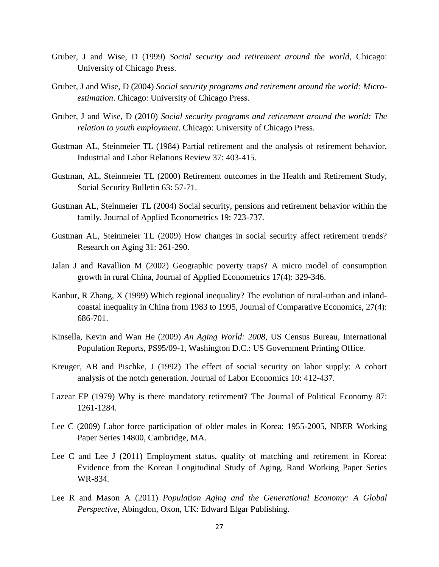- Gruber, J and Wise, D (1999) *Social security and retirement around the world*, Chicago: University of Chicago Press.
- Gruber, J and Wise, D (2004) *Social security programs and retirement around the world: Microestimation*. Chicago: University of Chicago Press.
- Gruber, J and Wise, D (2010) *Social security programs and retirement around the world: The relation to youth employment*. Chicago: University of Chicago Press.
- Gustman AL, Steinmeier TL (1984) Partial retirement and the analysis of retirement behavior, Industrial and Labor Relations Review 37: 403-415.
- Gustman, AL, Steinmeier TL (2000) Retirement outcomes in the Health and Retirement Study, Social Security Bulletin 63: 57-71.
- Gustman AL, Steinmeier TL (2004) Social security, pensions and retirement behavior within the family. Journal of Applied Econometrics 19: 723-737.
- Gustman AL, Steinmeier TL (2009) How changes in social security affect retirement trends? Research on Aging 31: 261-290.
- Jalan J and Ravallion M (2002) Geographic poverty traps? A micro model of consumption growth in rural China, Journal of Applied Econometrics 17(4): 329-346.
- Kanbur, R Zhang, X (1999) Which regional inequality? The evolution of rural-urban and inlandcoastal inequality in China from 1983 to 1995, Journal of Comparative Economics, 27(4): 686-701.
- Kinsella, Kevin and Wan He (2009) *An Aging World: 2008*, US Census Bureau, International Population Reports, PS95/09-1, Washington D.C.: US Government Printing Office.
- Kreuger, AB and Pischke, J (1992) The effect of social security on labor supply: A cohort analysis of the notch generation. Journal of Labor Economics 10: 412-437.
- Lazear EP (1979) Why is there mandatory retirement? The Journal of Political Economy 87: 1261-1284.
- Lee C (2009) Labor force participation of older males in Korea: 1955-2005, NBER Working Paper Series 14800, Cambridge, MA.
- Lee C and Lee J (2011) Employment status, quality of matching and retirement in Korea: Evidence from the Korean Longitudinal Study of Aging, Rand Working Paper Series WR-834.
- Lee R and Mason A (2011) *Population Aging and the Generational Economy: A Global Perspective*, Abingdon, Oxon, UK: Edward Elgar Publishing.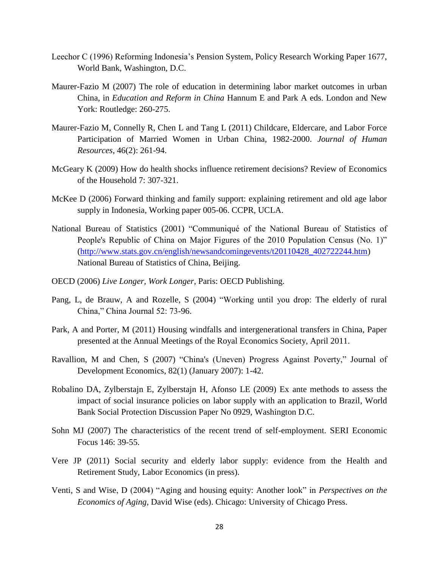- Leechor C (1996) Reforming Indonesia's Pension System, Policy Research Working Paper 1677, World Bank, Washington, D.C.
- Maurer-Fazio M (2007) The role of education in determining labor market outcomes in urban China, in *Education and Reform in China* Hannum E and Park A eds. London and New York: Routledge: 260-275.
- Maurer-Fazio M, Connelly R, Chen L and Tang L (2011) Childcare, Eldercare, and Labor Force Participation of Married Women in Urban China, 1982-2000. *Journal of Human Resources*, 46(2): 261-94.
- McGeary K (2009) How do health shocks influence retirement decisions? Review of Economics of the Household 7: 307-321.
- McKee D (2006) Forward thinking and family support: explaining retirement and old age labor supply in Indonesia, Working paper 005-06. CCPR, UCLA.
- National Bureau of Statistics (2001) "Communiqué of the National Bureau of Statistics of People's Republic of China on Major Figures of the 2010 Population Census (No. 1)" [\(http://www.stats.gov.cn/english/newsandcomingevents/t20110428\\_402722244.htm\)](http://www.stats.gov.cn/english/newsandcomingevents/t20110428_402722244.htm) National Bureau of Statistics of China, Beijing.
- OECD (2006) *Live Longer, Work Longer*, Paris: OECD Publishing.
- Pang, L, de Brauw, A and Rozelle, S (2004) "Working until you drop: The elderly of rural China," China Journal 52: 73-96.
- Park, A and Porter, M (2011) Housing windfalls and intergenerational transfers in China, Paper presented at the Annual Meetings of the Royal Economics Society, April 2011.
- Ravallion, M and Chen, S (2007) "China's (Uneven) Progress Against Poverty," Journal of Development Economics, 82(1) (January 2007): 1-42.
- Robalino DA, Zylberstajn E, Zylberstajn H, Afonso LE (2009) Ex ante methods to assess the impact of social insurance policies on labor supply with an application to Brazil, World Bank Social Protection Discussion Paper No 0929, Washington D.C.
- Sohn MJ (2007) The characteristics of the recent trend of self-employment. SERI Economic Focus 146: 39-55.
- Vere JP (2011) Social security and elderly labor supply: evidence from the Health and Retirement Study, Labor Economics (in press).
- Venti, S and Wise, D (2004) "Aging and housing equity: Another look" in *Perspectives on the Economics of Aging*, David Wise (eds). Chicago: University of Chicago Press.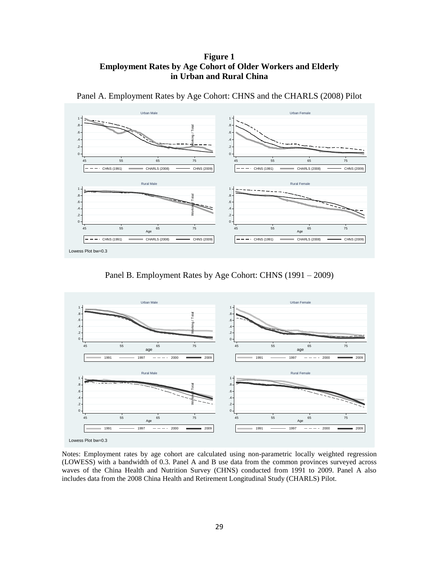#### **Figure 1 Employment Rates by Age Cohort of Older Workers and Elderly in Urban and Rural China**



Panel A. Employment Rates by Age Cohort: CHNS and the CHARLS (2008) Pilot

Panel B. Employment Rates by Age Cohort: CHNS (1991 – 2009)



Notes: Employment rates by age cohort are calculated using non-parametric locally weighted regression (LOWESS) with a bandwidth of 0.3. Panel A and B use data from the common provinces surveyed across waves of the China Health and Nutrition Survey (CHNS) conducted from 1991 to 2009. Panel A also includes data from the 2008 China Health and Retirement Longitudinal Study (CHARLS) Pilot.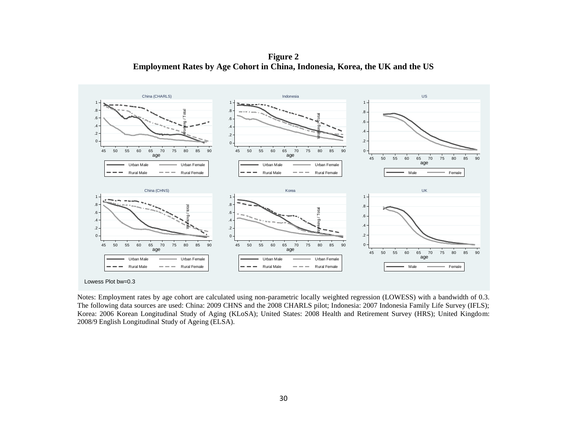**Figure 2 Employment Rates by Age Cohort in China, Indonesia, Korea, the UK and the US**



Notes: Employment rates by age cohort are calculated using non-parametric locally weighted regression (LOWESS) with a bandwidth of 0.3. The following data sources are used: China: 2009 CHNS and the 2008 CHARLS pilot; Indonesia: 2007 Indonesia Family Life Survey (IFLS); Korea: 2006 Korean Longitudinal Study of Aging (KLoSA); United States: 2008 Health and Retirement Survey (HRS); United Kingdom: 2008/9 English Longitudinal Study of Ageing (ELSA).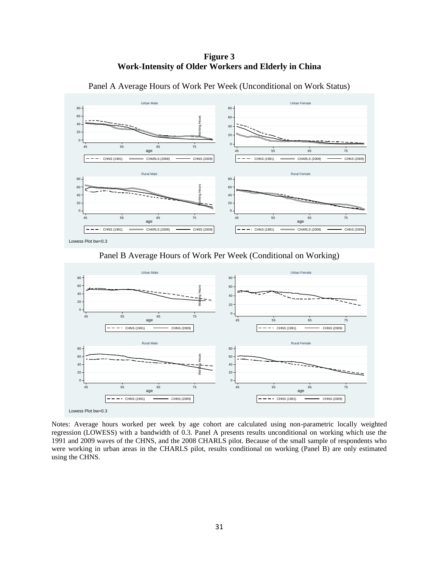#### **Figure 3 Work-Intensity of Older Workers and Elderly in China**



Panel A Average Hours of Work Per Week (Unconditional on Work Status)

Lowess Plot bw=0.3

Panel B Average Hours of Work Per Week (Conditional on Working)



Notes: Average hours worked per week by age cohort are calculated using non-parametric locally weighted regression (LOWESS) with a bandwidth of 0.3. Panel A presents results unconditional on working which use the 1991 and 2009 waves of the CHNS, and the 2008 CHARLS pilot. Because of the small sample of respondents who were working in urban areas in the CHARLS pilot, results conditional on working (Panel B) are only estimated using the CHNS.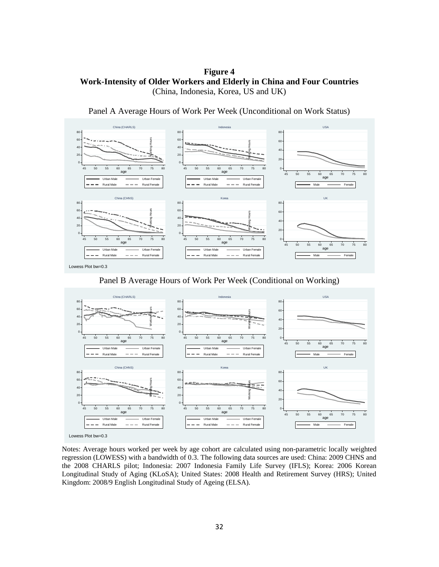**Figure 4 Work-Intensity of Older Workers and Elderly in China and Four Countries** (China, Indonesia, Korea, US and UK)

Panel A Average Hours of Work Per Week (Unconditional on Work Status) China (CHARLS) USA



Lowess Plot bw=0.3

Panel B Average Hours of Work Per Week (Conditional on Working)



Notes: Average hours worked per week by age cohort are calculated using non-parametric locally weighted regression (LOWESS) with a bandwidth of 0.3. The following data sources are used: China: 2009 CHNS and the 2008 CHARLS pilot; Indonesia: 2007 Indonesia Family Life Survey (IFLS); Korea: 2006 Korean Longitudinal Study of Aging (KLoSA); United States: 2008 Health and Retirement Survey (HRS); United Kingdom: 2008/9 English Longitudinal Study of Ageing (ELSA).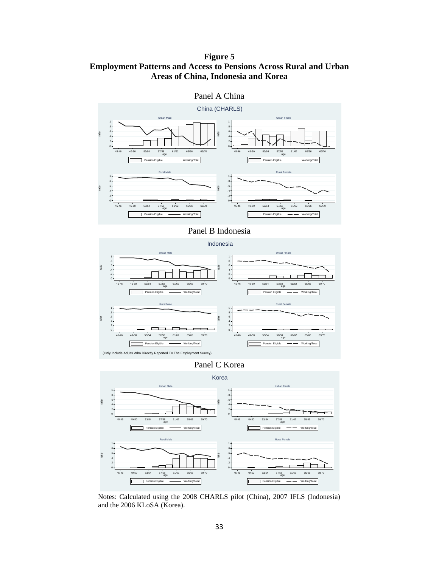### **Figure 5 Employment Patterns and Access to Pensions Across Rural and Urban Areas of China, Indonesia and Korea**

China (CHARLS) 1<br>. 8 1<br>. 8 Urban Male Urban Fmale . 6 1<br>.8<br>.6 1 1  $8 - 8 - 10$ <br> $-8 - 10 - 10$ . 4 . 4 rate .6<br>.4<br>.2 .6<br>.4<br>.2 rate  $\overline{a}$ 0 0 57/58<br>age 45-46 49-50 53/54 57/58 61/62 65/66 69/70 45-46 49-50 53/54 57/58 61/62 65/66 69/70 age E **Pension Eligible Working/Total** ſī Pension Eligible - Working/Total Rural Male 1<br>. 8  $\begin{array}{c} 1 \\ 3 \end{array}$ Rural Female 1<br>.8<br>.6<br>.6 1<br>.8<br>.6<br>.6  $1 - 8 - 8 - 6 - 4 - 4 - 3 = 4 - 3$ 1 . 4 . 4 rate .6<br>.4<br>.2 .6<br>.4<br>.2 rate  $rac{.2}{0}$ 0 45-46 49-50 53/54 57/58 61/62 65/66 69/70 45-46 49-50 53/54 57/58 61/62 65/66 69/70 age age  $\sqrt{2}$ Pension Eligible **Working/Total** Γ on Eligible  $\longrightarrow$  Working/Total

Panel A China

#### Panel B Indonesia



Panel C Korea





Notes: Calculated using the 2008 CHARLS pilot (China), 2007 IFLS (Indonesia) and the 2006 KLoSA (Korea).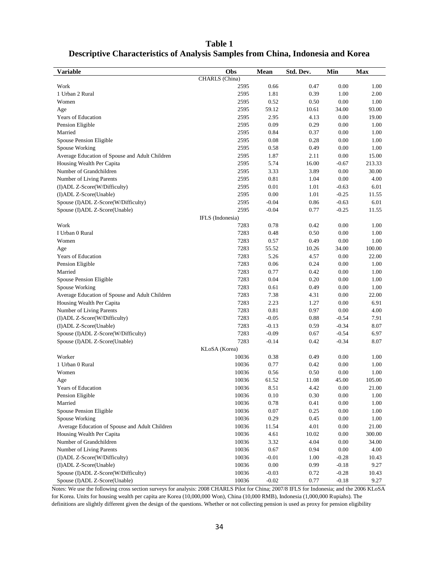| <b>Variable</b>                                | Obs            | Mean     | Std. Dev. | Min      | <b>Max</b> |  |  |  |  |  |  |
|------------------------------------------------|----------------|----------|-----------|----------|------------|--|--|--|--|--|--|
|                                                | CHARLS (China) |          |           |          |            |  |  |  |  |  |  |
| Work                                           | 2595           | 0.66     | 0.47      | 0.00     | 1.00       |  |  |  |  |  |  |
| 1 Urban 2 Rural                                | 2595           | 1.81     | 0.39      | 1.00     | 2.00       |  |  |  |  |  |  |
| Women                                          | 2595           | 0.52     | 0.50      | 0.00     | 1.00       |  |  |  |  |  |  |
| Age                                            | 2595           | 59.12    | 10.61     | 34.00    | 93.00      |  |  |  |  |  |  |
| <b>Years of Education</b>                      | 2595           | 2.95     | 4.13      | 0.00     | 19.00      |  |  |  |  |  |  |
| Pension Eligible                               | 2595           | 0.09     | 0.29      | 0.00     | 1.00       |  |  |  |  |  |  |
| Married                                        | 2595           | 0.84     | 0.37      | 0.00     | 1.00       |  |  |  |  |  |  |
| Spouse Pension Eligible                        | 2595           | 0.08     | 0.28      | 0.00     | 1.00       |  |  |  |  |  |  |
| Spouse Working                                 | 2595           | 0.58     | 0.49      | 0.00     | 1.00       |  |  |  |  |  |  |
| Average Education of Spouse and Adult Children | 2595           | 1.87     | 2.11      | 0.00     | 15.00      |  |  |  |  |  |  |
| Housing Wealth Per Capita                      | 2595           | 5.74     | 16.00     | $-0.67$  | 213.33     |  |  |  |  |  |  |
| Number of Grandchildren                        | 2595           | 3.33     | 3.89      | 0.00     | 30.00      |  |  |  |  |  |  |
| Number of Living Parents                       | 2595           | 0.81     | 1.04      | 0.00     | 4.00       |  |  |  |  |  |  |
| (I)ADL Z-Score(W/Difficulty)                   | 2595           | 0.01     | 1.01      | $-0.63$  | 6.01       |  |  |  |  |  |  |
| (I)ADL Z-Score(Unable)                         | 2595           | 0.00     | 1.01      | $-0.25$  | 11.55      |  |  |  |  |  |  |
| Spouse (I)ADL Z-Score(W/Difficulty)            | 2595           | $-0.04$  | 0.86      | $-0.63$  | 6.01       |  |  |  |  |  |  |
| Spouse (I)ADL Z-Score(Unable)                  | 2595           | $-0.04$  | 0.77      | $-0.25$  | 11.55      |  |  |  |  |  |  |
| IFLS (Indonesia)                               |                |          |           |          |            |  |  |  |  |  |  |
| Work                                           | 7283           | 0.78     | 0.42      | 0.00     | 1.00       |  |  |  |  |  |  |
| I Urban 0 Rural                                | 7283           | 0.48     | 0.50      | 0.00     | 1.00       |  |  |  |  |  |  |
| Women                                          | 7283           | 0.57     | 0.49      | 0.00     | 1.00       |  |  |  |  |  |  |
| Age                                            | 7283           | 55.52    | 10.26     | 34.00    | 100.00     |  |  |  |  |  |  |
| Years of Education                             | 7283           | 5.26     | 4.57      | 0.00     | 22.00      |  |  |  |  |  |  |
| Pension Eligible                               | 7283           | 0.06     | 0.24      | 0.00     | 1.00       |  |  |  |  |  |  |
| Married                                        | 7283           | 0.77     | 0.42      | 0.00     | 1.00       |  |  |  |  |  |  |
| Spouse Pension Eligible                        | 7283           | 0.04     | 0.20      | 0.00     | 1.00       |  |  |  |  |  |  |
| Spouse Working                                 | 7283           | 0.61     | 0.49      | 0.00     | 1.00       |  |  |  |  |  |  |
| Average Education of Spouse and Adult Children | 7283           | 7.38     | 4.31      | 0.00     | 22.00      |  |  |  |  |  |  |
| Housing Wealth Per Capita                      | 7283           | 2.23     | 1.27      | 0.00     | 6.91       |  |  |  |  |  |  |
| Number of Living Parents                       | 7283           | 0.81     | 0.97      | 0.00     | 4.00       |  |  |  |  |  |  |
| (I)ADL Z-Score(W/Difficulty)                   | 7283           | $-0.05$  | 0.88      | $-0.54$  | 7.91       |  |  |  |  |  |  |
| (I)ADL Z-Score(Unable)                         | 7283           | $-0.13$  | 0.59      | $-0.34$  | 8.07       |  |  |  |  |  |  |
| Spouse (I)ADL Z-Score(W/Difficulty)            | 7283           | $-0.09$  | 0.67      | $-0.54$  | 6.97       |  |  |  |  |  |  |
| Spouse (I)ADL Z-Score(Unable)                  | 7283           | $-0.14$  | 0.42      | $-0.34$  | 8.07       |  |  |  |  |  |  |
|                                                | KLoSA (Korea)  |          |           |          |            |  |  |  |  |  |  |
| Worker                                         | 10036          | 0.38     | 0.49      | 0.00     | 1.00       |  |  |  |  |  |  |
| 1 Urban 0 Rural                                | 10036          | 0.77     | 0.42      | 0.00     | 1.00       |  |  |  |  |  |  |
| Women                                          | 10036          | 0.56     | 0.50      | 0.00     | 1.00       |  |  |  |  |  |  |
| Age                                            | 10036          | 61.52    | 11.08     | 45.00    | 105.00     |  |  |  |  |  |  |
| Years of Education                             | 10036          | 8.51     | 4.42      | 0.00     | 21.00      |  |  |  |  |  |  |
| Pension Eligible                               | 10036          | 0.10     | 0.30      | 0.00     | 1.00       |  |  |  |  |  |  |
| Married                                        | 10036          | 0.78     | 0.41      | 0.00     | 1.00       |  |  |  |  |  |  |
| Spouse Pension Eligible                        | 10036          | $0.07\,$ | 0.25      | 0.00     | 1.00       |  |  |  |  |  |  |
| Spouse Working                                 | 10036          | 0.29     | 0.45      | 0.00     | 1.00       |  |  |  |  |  |  |
| Average Education of Spouse and Adult Children | 10036          | 11.54    | 4.01      | 0.00     | 21.00      |  |  |  |  |  |  |
| Housing Wealth Per Capita                      | 10036          | 4.61     | 10.02     | 0.00     | 300.00     |  |  |  |  |  |  |
| Number of Grandchildren                        | 10036          | 3.32     | 4.04      | 0.00     | 34.00      |  |  |  |  |  |  |
| Number of Living Parents                       | 10036          | 0.67     | 0.94      | $0.00\,$ | 4.00       |  |  |  |  |  |  |
| (I)ADL Z-Score(W/Difficulty)                   | 10036          | $-0.01$  | 1.00      | $-0.28$  | 10.43      |  |  |  |  |  |  |
| (I)ADL Z-Score(Unable)                         | 10036          | $0.00\,$ | 0.99      | $-0.18$  | 9.27       |  |  |  |  |  |  |
| Spouse (I)ADL Z-Score(W/Difficulty)            | 10036          | $-0.03$  | 0.72      | $-0.28$  | 10.43      |  |  |  |  |  |  |
| Spouse (I)ADL Z-Score(Unable)                  | 10036          | $-0.02$  | 0.77      | $-0.18$  | 9.27       |  |  |  |  |  |  |

#### **Table 1 Descriptive Characteristics of Analysis Samples from China, Indonesia and Korea**

Notes: We use the following cross section surveys for analysis: 2008 CHARLS Pilot for China; 2007/8 IFLS for Indonesia; and the 2006 KLoSA for Korea. Units for housing wealth per capita are Korea (10,000,000 Won), China (10,000 RMB), Indonesia (1,000,000 Rupiahs). The definitions are slightly different given the design of the questions. Whether or not collecting pension is used as proxy for pension eligibility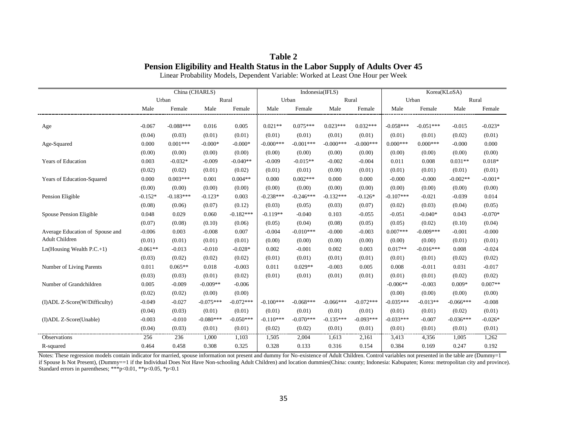| Table 2 |  |                                                                             |  |  |  |  |  |  |  |  |
|---------|--|-----------------------------------------------------------------------------|--|--|--|--|--|--|--|--|
|         |  | Pension Eligibility and Health Status in the Labor Supply of Adults Over 45 |  |  |  |  |  |  |  |  |
|         |  |                                                                             |  |  |  |  |  |  |  |  |

Linear Probability Models, Dependent Variable: Worked at Least One Hour per Week

|                                     | China (CHARLS) |             |             |             |             | Indonesia(IFLS) |             |             | Korea(KLoSA) |             |             |           |
|-------------------------------------|----------------|-------------|-------------|-------------|-------------|-----------------|-------------|-------------|--------------|-------------|-------------|-----------|
|                                     | Urban          |             | Rural       |             | Urban       |                 | Rural       |             | Urban        |             | Rural       |           |
|                                     | Male           | Female      | Male        | Female      | Male        | Female          | Male        | Female      | Male         | Female      | Male        | Female    |
|                                     |                |             |             |             |             |                 |             |             |              |             |             |           |
| Age                                 | $-0.067$       | $-0.088***$ | 0.016       | 0.005       | $0.021**$   | $0.075***$      | $0.023***$  | $0.032***$  | $-0.058***$  | $-0.051***$ | $-0.015$    | $-0.023*$ |
|                                     | (0.04)         | (0.03)      | (0.01)      | (0.01)      | (0.01)      | (0.01)          | (0.01)      | (0.01)      | (0.01)       | (0.01)      | (0.02)      | (0.01)    |
| Age-Squared                         | 0.000          | $0.001***$  | $-0.000*$   | $-0.000*$   | $-0.000***$ | $-0.001***$     | $-0.000***$ | $-0.000***$ | $0.000***$   | $0.000***$  | $-0.000$    | 0.000     |
|                                     | (0.00)         | (0.00)      | (0.00)      | (0.00)      | (0.00)      | (0.00)          | (0.00)      | (0.00)      | (0.00)       | (0.00)      | (0.00)      | (0.00)    |
| Years of Education                  | 0.003          | $-0.032*$   | $-0.009$    | $-0.040**$  | $-0.009$    | $-0.015**$      | $-0.002$    | $-0.004$    | 0.011        | 0.008       | $0.031**$   | $0.018*$  |
|                                     | (0.02)         | (0.02)      | (0.01)      | (0.02)      | (0.01)      | (0.01)          | (0.00)      | (0.01)      | (0.01)       | (0.01)      | (0.01)      | (0.01)    |
| Years of Education-Squared          | 0.000          | $0.003***$  | 0.001       | $0.004**$   | 0.000       | $0.002***$      | 0.000       | 0.000       | $-0.000$     | $-0.000$    | $-0.002**$  | $-0.001*$ |
|                                     | (0.00)         | (0.00)      | (0.00)      | (0.00)      | (0.00)      | (0.00)          | (0.00)      | (0.00)      | (0.00)       | (0.00)      | (0.00)      | (0.00)    |
| Pension Eligible                    | $-0.152*$      | $-0.183***$ | $-0.123*$   | 0.003       | $-0.238***$ | $-0.246***$     | $-0.132***$ | $-0.126*$   | $-0.107***$  | $-0.021$    | $-0.039$    | 0.014     |
|                                     | (0.08)         | (0.06)      | (0.07)      | (0.12)      | (0.03)      | (0.05)          | (0.03)      | (0.07)      | (0.02)       | (0.03)      | (0.04)      | (0.05)    |
| Spouse Pension Eligible             | 0.048          | 0.029       | 0.060       | $-0.182***$ | $-0.119**$  | $-0.040$        | 0.103       | $-0.055$    | $-0.051$     | $-0.040*$   | 0.043       | $-0.070*$ |
|                                     | (0.07)         | (0.08)      | (0.10)      | (0.06)      | (0.05)      | (0.04)          | (0.08)      | (0.05)      | (0.05)       | (0.02)      | (0.10)      | (0.04)    |
| Average Education of Spouse and     | $-0.006$       | 0.003       | $-0.008$    | 0.007       | $-0.004$    | $-0.010***$     | $-0.000$    | $-0.003$    | $0.007***$   | $-0.009***$ | $-0.001$    | $-0.000$  |
| Adult Children                      | (0.01)         | (0.01)      | (0.01)      | (0.01)      | (0.00)      | (0.00)          | (0.00)      | (0.00)      | (0.00)       | (0.00)      | (0.01)      | (0.01)    |
| $Ln(Housing Wealth P.C.+1)$         | $-0.061**$     | $-0.013$    | $-0.010$    | $-0.028*$   | 0.002       | $-0.001$        | 0.002       | 0.003       | $0.017**$    | $-0.016***$ | 0.008       | $-0.024$  |
|                                     | (0.03)         | (0.02)      | (0.02)      | (0.02)      | (0.01)      | (0.01)          | (0.01)      | (0.01)      | (0.01)       | (0.01)      | (0.02)      | (0.02)    |
| Number of Living Parents            | 0.011          | $0.065**$   | 0.018       | $-0.003$    | 0.011       | $0.029**$       | $-0.003$    | 0.005       | 0.008        | $-0.011$    | 0.031       | $-0.017$  |
|                                     | (0.03)         | (0.03)      | (0.01)      | (0.02)      | (0.01)      | (0.01)          | (0.01)      | (0.01)      | (0.01)       | (0.01)      | (0.02)      | (0.02)    |
| Number of Grandchildren             | 0.005          | $-0.009$    | $-0.009**$  | $-0.006$    |             |                 |             |             | $-0.006**$   | $-0.003$    | $0.009*$    | $0.007**$ |
|                                     | (0.02)         | (0.02)      | (0.00)      | (0.00)      |             |                 |             |             | (0.00)       | (0.00)      | (0.00)      | (0.00)    |
| (I)ADL Z-Score(W/Difficulty)        | $-0.049$       | $-0.027$    | $-0.075***$ | $-0.072***$ | $-0.100***$ | $-0.068***$     | $-0.066***$ | $-0.072***$ | $-0.035***$  | $-0.013**$  | $-0.066***$ | $-0.008$  |
|                                     | (0.04)         | (0.03)      | (0.01)      | (0.01)      | (0.01)      | (0.01)          | (0.01)      | (0.01)      | (0.01)       | (0.01)      | (0.02)      | (0.01)    |
| (I)ADL Z-Score(Unable)              | $-0.003$       | $-0.010$    | $-0.080***$ | $-0.050***$ | $-0.110***$ | $-0.070***$     | $-0.135***$ | $-0.093***$ | $-0.033***$  | $-0.007$    | $-0.036***$ | $-0.026*$ |
| ----------------------------------- | (0.04)         | (0.03)      | (0.01)      | (0.01)      | (0.02)      | (0.02)          | (0.01)      | (0.01)      | (0.01)       | (0.01)      | (0.01)      | (0.01)    |
| Observations                        | 256            | 236         | 1,000       | 1,103       | 1,505       | 2,004           | 1,613       | 2,161       | 3,413        | 4,356       | 1,005       | 1,262     |
| R-squared                           | 0.464          | 0.458       | 0.308       | 0.325       | 0.328       | 0.133           | 0.316       | 0.154       | 0.384        | 0.169       | 0.247       | 0.192     |

Notes: These regression models contain indicator for married, spouse information not present and dummy for No-existence of Adult Children. Control variables not presented in the table are (Dummy=1 if Spouse Is Not Present), (Dummy==1 if the Individual Does Not Have Non-schooling Adult Children) and location dummies(China: county; Indonesia: Kabupaten; Korea: metropolitan city and province). Standard errors in parentheses; \*\*\*p<0.01, \*\*p<0.05, \*p<0.1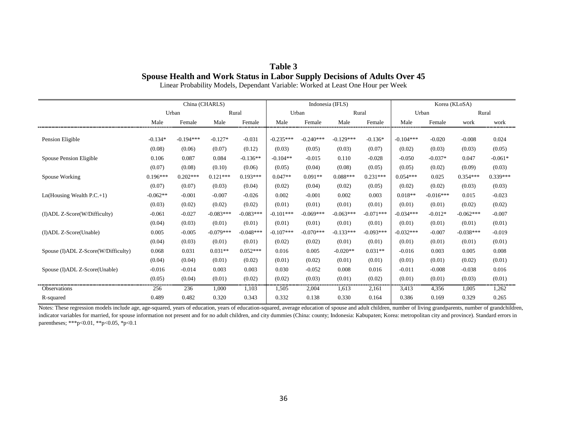## **Table 3 Spouse Health and Work Status in Labor Supply Decisions of Adults Over 45**

Linear Probability Models, Dependant Variable: Worked at Least One Hour per Week

|                                     | China (CHARLS) |             |             |             | Indonesia (IFLS) |             |             |             | Korea (KLoSA) |             |             |            |
|-------------------------------------|----------------|-------------|-------------|-------------|------------------|-------------|-------------|-------------|---------------|-------------|-------------|------------|
|                                     | Urban          |             | Rural       |             | Urban            |             | Rural       |             | Urban         |             | Rural       |            |
|                                     | Male           | Female      | Male        | Female      | Male             | Female      | Male        | Female      | Male          | Female      | work        | work       |
|                                     |                |             |             |             |                  |             |             |             |               |             |             |            |
| Pension Eligible                    | $-0.134*$      | $-0.194***$ | $-0.127*$   | $-0.031$    | $-0.235***$      | $-0.240***$ | $-0.129***$ | $-0.136*$   | $-0.104***$   | $-0.020$    | $-0.008$    | 0.024      |
|                                     | (0.08)         | (0.06)      | (0.07)      | (0.12)      | (0.03)           | (0.05)      | (0.03)      | (0.07)      | (0.02)        | (0.03)      | (0.03)      | (0.05)     |
| Spouse Pension Eligible             | 0.106          | 0.087       | 0.084       | $-0.136**$  | $-0.104**$       | $-0.015$    | 0.110       | $-0.028$    | $-0.050$      | $-0.037*$   | 0.047       | $-0.061*$  |
|                                     | (0.07)         | (0.08)      | (0.10)      | (0.06)      | (0.05)           | (0.04)      | (0.08)      | (0.05)      | (0.05)        | (0.02)      | (0.09)      | (0.03)     |
| Spouse Working                      | $0.196***$     | $0.202***$  | $0.121***$  | $0.193***$  | $0.047**$        | $0.091**$   | $0.088***$  | $0.231***$  | $0.054***$    | 0.025       | $0.354***$  | $0.339***$ |
|                                     | (0.07)         | (0.07)      | (0.03)      | (0.04)      | (0.02)           | (0.04)      | (0.02)      | (0.05)      | (0.02)        | (0.02)      | (0.03)      | (0.03)     |
| $Ln(Housing Wealth P.C.+1)$         | $-0.062**$     | $-0.001$    | $-0.007$    | $-0.026$    | 0.002            | $-0.001$    | 0.002       | 0.003       | $0.018**$     | $-0.016***$ | 0.015       | $-0.023$   |
|                                     | (0.03)         | (0.02)      | (0.02)      | (0.02)      | (0.01)           | (0.01)      | (0.01)      | (0.01)      | (0.01)        | (0.01)      | (0.02)      | (0.02)     |
| (I)ADL Z-Score(W/Difficulty)        | $-0.061$       | $-0.027$    | $-0.083***$ | $-0.083***$ | $-0.101***$      | $-0.069***$ | $-0.063***$ | $-0.071***$ | $-0.034***$   | $-0.012*$   | $-0.062***$ | $-0.007$   |
|                                     | (0.04)         | (0.03)      | (0.01)      | (0.01)      | (0.01)           | (0.01)      | (0.01)      | (0.01)      | (0.01)        | (0.01)      | (0.01)      | (0.01)     |
| (I)ADL Z-Score(Unable)              | 0.005          | $-0.005$    | $-0.079***$ | $-0.048***$ | $-0.107***$      | $-0.070***$ | $-0.133***$ | $-0.093***$ | $-0.032***$   | $-0.007$    | $-0.038***$ | $-0.019$   |
|                                     | (0.04)         | (0.03)      | (0.01)      | (0.01)      | (0.02)           | (0.02)      | (0.01)      | (0.01)      | (0.01)        | (0.01)      | (0.01)      | (0.01)     |
| Spouse (I)ADL Z-Score(W/Difficulty) | 0.068          | 0.031       | $0.031**$   | $0.052***$  | 0.016            | 0.005       | $-0.020**$  | $0.031**$   | $-0.016$      | 0.003       | 0.005       | 0.008      |
|                                     | (0.04)         | (0.04)      | (0.01)      | (0.02)      | (0.01)           | (0.02)      | (0.01)      | (0.01)      | (0.01)        | (0.01)      | (0.02)      | (0.01)     |
| Spouse (I)ADL Z-Score(Unable)       | $-0.016$       | $-0.014$    | 0.003       | 0.003       | 0.030            | $-0.052$    | 0.008       | 0.016       | $-0.011$      | $-0.008$    | $-0.038$    | 0.016      |
|                                     | (0.05)         | (0.04)      | (0.01)      | (0.02)      | (0.02)           | (0.03)      | (0.01)      | (0.02)      | (0.01)        | (0.01)      | (0.03)      | (0.01)     |
| <b>Observations</b>                 | 256            | 236         | 1,000       | 1,103       | 1,505            | 2,004       | 1,613       | 2,161       | 3,413         | 4,356       | 1,005       | 1,262      |
| R-squared                           | 0.489          | 0.482       | 0.320       | 0.343       | 0.332            | 0.138       | 0.330       | 0.164       | 0.386         | 0.169       | 0.329       | 0.265      |

Notes: These regression models include age, age-squared, years of education, years of education-squared, average education of spouse and adult children, number of living grandparents, number of grandchildren, indicator variables for married, for spouse information not present and for no adult children, and city dummies (China: county; Indonesia: Kabupaten; Korea: metropolitan city and province). Standard errors in parentheses; \*\*\*p<0.01, \*\*p<0.05, \*p<0.1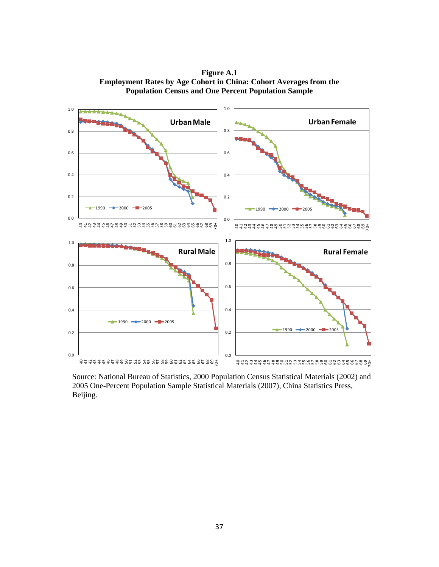**Figure A.1 Employment Rates by Age Cohort in China: Cohort Averages from the Population Census and One Percent Population Sample**



Source: National Bureau of Statistics, 2000 Population Census Statistical Materials (2002) and 2005 One-Percent Population Sample Statistical Materials (2007), China Statistics Press, Beijing.